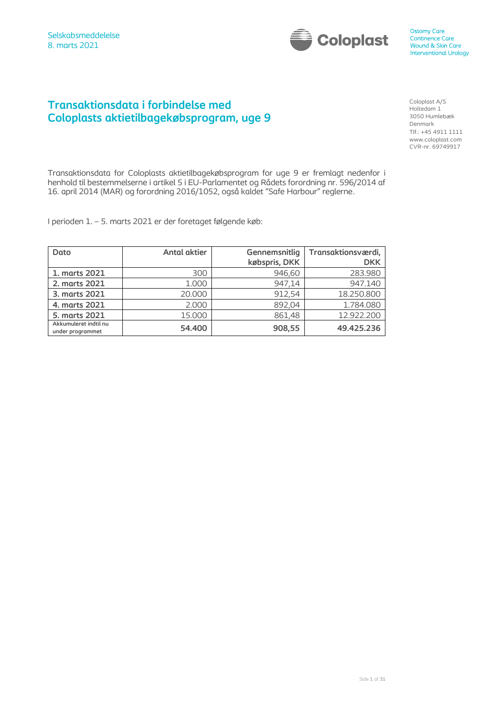

# **Transaktionsdata i forbindelse med Coloplasts aktietilbagekøbsprogram, uge 9**

Coloplast A/S Holtedam 1 3050 Humlebæk Denmark Tlf.: +45 4911 1111 www.coloplast.com CVR-nr. 69749917

Transaktionsdata for Coloplasts aktietilbagekøbsprogram for uge 9 er fremlagt nedenfor i henhold til bestemmelserne i artikel 5 i EU-Parlamentet og Rådets forordning nr. 596/2014 af 16. april 2014 (MAR) og forordning 2016/1052, også kaldet "Safe Harbour" reglerne.

I perioden 1. – 5. marts 2021 er der foretaget følgende køb:

| Dato                                      | <b>Antal aktier</b> | Gennemsnitlig<br>købspris, DKK | Transaktionsværdi,<br><b>DKK</b> |
|-------------------------------------------|---------------------|--------------------------------|----------------------------------|
| 1. marts 2021                             | 300                 | 946,60                         | 283.980                          |
| 2. marts 2021                             | 1.000               | 947,14                         | 947.140                          |
| 3. marts 2021                             | 20,000              | 912.54                         | 18.250.800                       |
| 4. marts 2021                             | 2.000               | 892,04                         | 1.784.080                        |
| 5. marts 2021                             | 15.000              | 861,48                         | 12.922.200                       |
| Akkumuleret indtil nu<br>under programmet | 54.400              | 908,55                         | 49.425.236                       |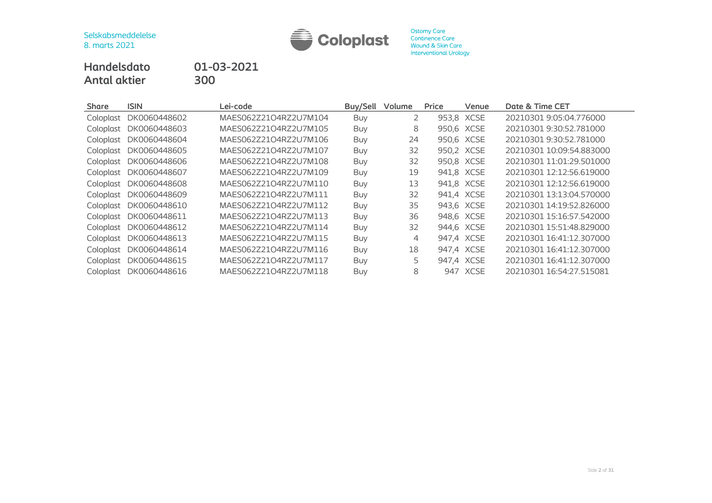

**Ostomy Care** Continence Care Wound & Skin Care **Interventional Urology** 

**Handelsdato 01-03-2021 Antal aktier 300**

**Share ISIN Lei-code Buy/Sell Volume Price Venue Date & Time CET** Coloplast DK0060448602 MAES062Z21O4RZ2U7M104 Buy 2 953,8 XCSE 20210301 9:05:04.776000 Coloplast DK0060448603 MAES062Z21O4RZ2U7M105 Buy 8 950,6 XCSE 20210301 9:30:52.781000 Coloplast DK0060448604 MAES062Z21O4RZ2U7M106 Buy 24 950,6 XCSE 20210301 9:30:52.781000 Coloplast DK0060448605 MAES062Z21O4RZ2U7M107 Buy 32 950,2 XCSE 20210301 10:09:54.883000 Coloplast DK0060448606 MAES062Z21O4RZ2U7M108 Buy 32 950,8 XCSE 20210301 11:01:29.501000 Coloplast DK0060448607 MAES062Z21O4RZ2U7M109 Buy 19 941,8 XCSE 20210301 12:12:56.619000 Coloplast DK0060448608 MAES062Z21O4RZ2U7M110 Buy 13 941,8 XCSE 20210301 12:12:56.619000 Coloplast DK0060448609 MAES062Z21O4RZ2U7M111 Buy 32 941,4 XCSE 20210301 13:13:04.570000 Coloplast DK0060448610 MAES062Z21O4RZ2U7M112 Buy 35 943,6 XCSE 20210301 14:19:52.826000 Coloplast DK0060448611 MAES062Z21O4RZ2U7M113 Buy 36 948,6 XCSE 20210301 15:16:57.542000 Coloplast DK0060448612 MAES062Z21O4RZ2U7M114 Buy 32 944,6 XCSE 20210301 15:51:48.829000 Coloplast DK0060448613 MAES062Z21O4RZ2U7M115 Buy 4 947,4 XCSE 20210301 16:41:12.307000 Coloplast DK0060448614 MAES062Z21O4RZ2U7M116 Buy 18 947,4 XCSE 20210301 16:41:12.307000 Coloplast DK0060448615 MAES062Z21O4RZ2U7M117 Buy 5 947,4 XCSE 20210301 16:41:12.307000 Coloplast DK0060448616 MAES062Z21O4RZ2U7M118 Buy 8 947 XCSE 20210301 16:54:27.515081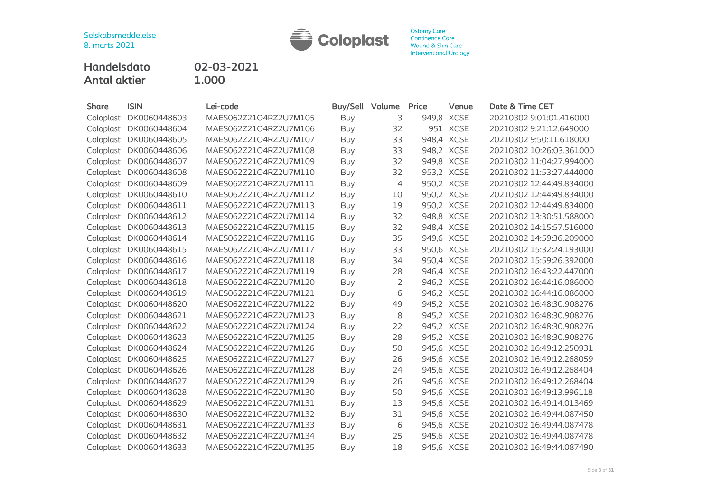

Ostomy Care<br>Continence Care<br>Wound & Skin Care Interventional Urology

**Handelsdato 02-03-2021 Antal aktier 1.000**

| <b>Share</b> | <b>ISIN</b>            | Lei-code              | <b>Buy/Sell</b> | Volume | Price      | Venue      | Date & Time CET          |
|--------------|------------------------|-----------------------|-----------------|--------|------------|------------|--------------------------|
| Coloplast    | DK0060448603           | MAES062Z21O4RZ2U7M105 | Buy             | 3      |            | 949,8 XCSE | 20210302 9:01:01.416000  |
| Coloplast    | DK0060448604           | MAES062Z21O4RZ2U7M106 | Buy             | 32     |            | 951 XCSE   | 20210302 9:21:12.649000  |
|              | Coloplast DK0060448605 | MAES062Z21O4RZ2U7M107 | Buy             | 33     | 948,4 XCSE |            | 20210302 9:50:11.618000  |
| Coloplast    | DK0060448606           | MAES062Z21O4RZ2U7M108 | <b>Buy</b>      | 33     |            | 948,2 XCSE | 20210302 10:26:03.361000 |
| Coloplast    | DK0060448607           | MAES062Z21O4RZ2U7M109 | <b>Buy</b>      | 32     | 949,8 XCSE |            | 20210302 11:04:27.994000 |
|              | Coloplast DK0060448608 | MAES062Z21O4RZ2U7M110 | <b>Buy</b>      | 32     | 953,2 XCSE |            | 20210302 11:53:27.444000 |
| Coloplast    | DK0060448609           | MAES062Z21O4RZ2U7M111 | <b>Buy</b>      | 4      | 950,2 XCSE |            | 20210302 12:44:49.834000 |
| Coloplast    | DK0060448610           | MAES062Z21O4RZ2U7M112 | <b>Buy</b>      | 10     | 950,2 XCSE |            | 20210302 12:44:49.834000 |
| Coloplast    | DK0060448611           | MAES062Z21O4RZ2U7M113 | <b>Buy</b>      | 19     | 950,2 XCSE |            | 20210302 12:44:49.834000 |
| Coloplast    | DK0060448612           | MAES062Z21O4RZ2U7M114 | <b>Buy</b>      | 32     |            | 948,8 XCSE | 20210302 13:30:51.588000 |
| Coloplast    | DK0060448613           | MAES062Z21O4RZ2U7M115 | <b>Buy</b>      | 32     |            | 948,4 XCSE | 20210302 14:15:57.516000 |
| Coloplast    | DK0060448614           | MAES062Z21O4RZ2U7M116 | <b>Buy</b>      | 35     | 949,6 XCSE |            | 20210302 14:59:36.209000 |
| Coloplast    | DK0060448615           | MAES062Z21O4RZ2U7M117 | <b>Buy</b>      | 33     | 950,6 XCSE |            | 20210302 15:32:24.193000 |
|              | Coloplast DK0060448616 | MAES062Z21O4RZ2U7M118 | <b>Buy</b>      | 34     | 950,4 XCSE |            | 20210302 15:59:26.392000 |
| Coloplast    | DK0060448617           | MAES062Z21O4RZ2U7M119 | <b>Buy</b>      | 28     | 946,4 XCSE |            | 20210302 16:43:22.447000 |
| Coloplast    | DK0060448618           | MAES062Z21O4RZ2U7M120 | <b>Buy</b>      | 2      |            | 946,2 XCSE | 20210302 16:44:16.086000 |
|              | Coloplast DK0060448619 | MAES062Z21O4RZ2U7M121 | <b>Buy</b>      | 6      |            | 946,2 XCSE | 20210302 16:44:16.086000 |
| Coloplast    | DK0060448620           | MAES062Z21O4RZ2U7M122 | <b>Buy</b>      | 49     |            | 945,2 XCSE | 20210302 16:48:30.908276 |
| Coloplast    | DK0060448621           | MAES062Z21O4RZ2U7M123 | <b>Buy</b>      | 8      |            | 945,2 XCSE | 20210302 16:48:30.908276 |
|              | Coloplast DK0060448622 | MAES062Z21O4RZ2U7M124 | <b>Buy</b>      | 22     | 945,2 XCSE |            | 20210302 16:48:30.908276 |
| Coloplast    | DK0060448623           | MAES062Z21O4RZ2U7M125 | <b>Buy</b>      | 28     |            | 945,2 XCSE | 20210302 16:48:30.908276 |
| Coloplast    | DK0060448624           | MAES062Z21O4RZ2U7M126 | <b>Buy</b>      | 50     |            | 945,6 XCSE | 20210302 16:49:12.250931 |
| Coloplast    | DK0060448625           | MAES062Z21O4RZ2U7M127 | <b>Buy</b>      | 26     |            | 945,6 XCSE | 20210302 16:49:12.268059 |
| Coloplast    | DK0060448626           | MAES062Z21O4RZ2U7M128 | <b>Buy</b>      | 24     |            | 945,6 XCSE | 20210302 16:49:12.268404 |
| Coloplast    | DK0060448627           | MAES062Z21O4RZ2U7M129 | <b>Buy</b>      | 26     |            | 945,6 XCSE | 20210302 16:49:12.268404 |
| Coloplast    | DK0060448628           | MAES062Z21O4RZ2U7M130 | <b>Buy</b>      | 50     | 945,6 XCSE |            | 20210302 16:49:13.996118 |
| Coloplast    | DK0060448629           | MAES062Z21O4RZ2U7M131 | <b>Buy</b>      | 13     |            | 945,6 XCSE | 20210302 16:49:14.013469 |
|              | Coloplast DK0060448630 | MAES062Z21O4RZ2U7M132 | <b>Buy</b>      | 31     | 945,6 XCSE |            | 20210302 16:49:44.087450 |
| Coloplast    | DK0060448631           | MAES062Z21O4RZ2U7M133 | <b>Buy</b>      | 6      | 945,6 XCSE |            | 20210302 16:49:44.087478 |
| Coloplast    | DK0060448632           | MAES062Z21O4RZ2U7M134 | <b>Buy</b>      | 25     |            | 945,6 XCSE | 20210302 16:49:44.087478 |
|              | Coloplast DK0060448633 | MAES062Z21O4RZ2U7M135 | Buy             | 18     | 945,6 XCSE |            | 20210302 16:49:44.087490 |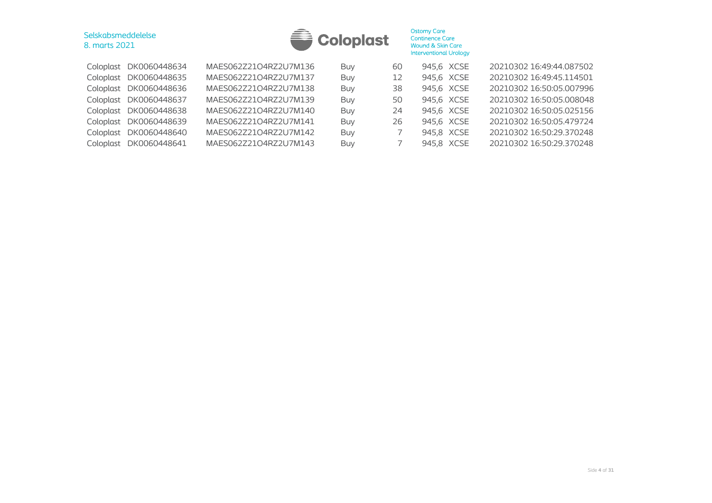

|  | Coloplast DK0060448634 | MAES062Z21O4RZ2U7M136 | Buy | 60 | 945,6 XCSE | 20210302 16:49:44.087502 |
|--|------------------------|-----------------------|-----|----|------------|--------------------------|
|  | Coloplast DK0060448635 | MAES062Z21O4RZ2U7M137 | Buy | 12 | 945,6 XCSE | 20210302 16:49:45.114501 |
|  | Coloplast DK0060448636 | MAES062Z21O4RZ2U7M138 | Buy | 38 | 945,6 XCSE | 20210302 16:50:05.007996 |
|  | Coloplast DK0060448637 | MAES062Z21O4RZ2U7M139 | Buy | 50 | 945,6 XCSE | 20210302 16:50:05.008048 |
|  | Coloplast DK0060448638 | MAES062Z21O4RZ2U7M140 | Buy | 24 | 945,6 XCSE | 20210302 16:50:05.025156 |
|  | Coloplast DK0060448639 | MAES062Z21O4RZ2U7M141 | Buy | 26 | 945,6 XCSE | 20210302 16:50:05.479724 |
|  | Coloplast DK0060448640 | MAES062Z21O4RZ2U7M142 | Buy |    | 945,8 XCSE | 20210302 16:50:29.370248 |
|  | Coloplast DK0060448641 | MAES062Z21O4RZ2U7M143 | Buy |    | 945,8 XCSE | 20210302 16:50:29.370248 |
|  |                        |                       |     |    |            |                          |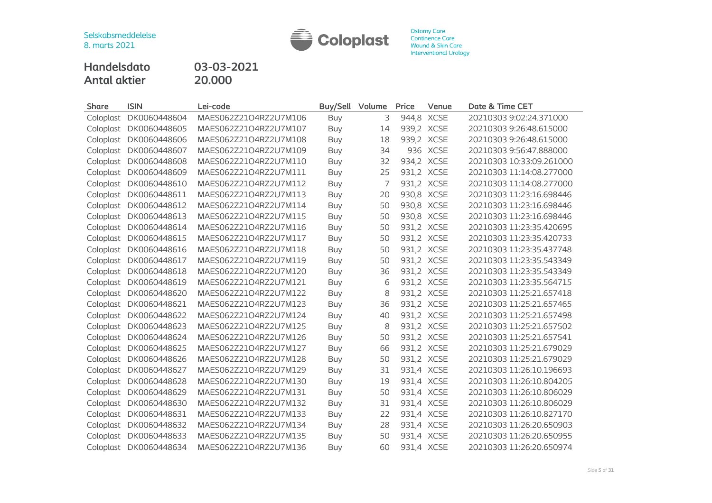

**Handelsdato 03-03-2021 Antal aktier** 

| <b>Share</b> | <b>ISIN</b>  | Lei-code              | Buy/Sell   | Volume         | Price | Venue      | Date & Time CET          |
|--------------|--------------|-----------------------|------------|----------------|-------|------------|--------------------------|
| Coloplast    | DK0060448604 | MAES062Z21O4RZ2U7M106 | <b>Buy</b> | 3              |       | 944,8 XCSE | 20210303 9:02:24.371000  |
| Coloplast    | DK0060448605 | MAES062Z21O4RZ2U7M107 | Buy        | 14             |       | 939,2 XCSE | 20210303 9:26:48.615000  |
| Coloplast    | DK0060448606 | MAES062Z21O4RZ2U7M108 | <b>Buy</b> | 18             |       | 939,2 XCSE | 20210303 9:26:48.615000  |
| Coloplast    | DK0060448607 | MAES062Z21O4RZ2U7M109 | <b>Buy</b> | 34             |       | 936 XCSE   | 20210303 9:56:47.888000  |
| Coloplast    | DK0060448608 | MAES062Z21O4RZ2U7M110 | <b>Buy</b> | 32             |       | 934,2 XCSE | 20210303 10:33:09.261000 |
| Coloplast    | DK0060448609 | MAES062Z21O4RZ2U7M111 | <b>Buy</b> | 25             |       | 931,2 XCSE | 20210303 11:14:08.277000 |
| Coloplast    | DK0060448610 | MAES062Z21O4RZ2U7M112 | Buy        | $\overline{7}$ |       | 931,2 XCSE | 20210303 11:14:08.277000 |
| Coloplast    | DK0060448611 | MAES062Z21O4RZ2U7M113 | Buy        | 20             |       | 930,8 XCSE | 20210303 11:23:16.698446 |
| Coloplast    | DK0060448612 | MAES062Z21O4RZ2U7M114 | <b>Buy</b> | 50             |       | 930,8 XCSE | 20210303 11:23:16.698446 |
| Coloplast    | DK0060448613 | MAES062Z21O4RZ2U7M115 | Buy        | 50             |       | 930,8 XCSE | 20210303 11:23:16.698446 |
| Coloplast    | DK0060448614 | MAES062Z21O4RZ2U7M116 | <b>Buy</b> | 50             |       | 931,2 XCSE | 20210303 11:23:35.420695 |
| Coloplast    | DK0060448615 | MAES062Z21O4RZ2U7M117 | <b>Buy</b> | 50             |       | 931,2 XCSE | 20210303 11:23:35.420733 |
| Coloplast    | DK0060448616 | MAES062Z21O4RZ2U7M118 | Buy        | 50             |       | 931,2 XCSE | 20210303 11:23:35.437748 |
| Coloplast    | DK0060448617 | MAES062Z21O4RZ2U7M119 | <b>Buy</b> | 50             |       | 931,2 XCSE | 20210303 11:23:35.543349 |
| Coloplast    | DK0060448618 | MAES062Z21O4RZ2U7M120 | <b>Buy</b> | 36             |       | 931,2 XCSE | 20210303 11:23:35.543349 |
| Coloplast    | DK0060448619 | MAES062Z21O4RZ2U7M121 | <b>Buy</b> | 6              |       | 931,2 XCSE | 20210303 11:23:35.564715 |
| Coloplast    | DK0060448620 | MAES062Z21O4RZ2U7M122 | Buy        | 8              |       | 931,2 XCSE | 20210303 11:25:21.657418 |
| Coloplast    | DK0060448621 | MAES062Z21O4RZ2U7M123 | Buy        | 36             |       | 931,2 XCSE | 20210303 11:25:21.657465 |
| Coloplast    | DK0060448622 | MAES062Z21O4RZ2U7M124 | Buy        | 40             |       | 931,2 XCSE | 20210303 11:25:21.657498 |
| Coloplast    | DK0060448623 | MAES062Z21O4RZ2U7M125 | <b>Buy</b> | 8              |       | 931,2 XCSE | 20210303 11:25:21.657502 |
| Coloplast    | DK0060448624 | MAES062Z21O4RZ2U7M126 | Buy        | 50             |       | 931,2 XCSE | 20210303 11:25:21.657541 |
| Coloplast    | DK0060448625 | MAES062Z21O4RZ2U7M127 | <b>Buy</b> | 66             |       | 931,2 XCSE | 20210303 11:25:21.679029 |
| Coloplast    | DK0060448626 | MAES062Z21O4RZ2U7M128 | Buy        | 50             |       | 931,2 XCSE | 20210303 11:25:21.679029 |
| Coloplast    | DK0060448627 | MAES062Z21O4RZ2U7M129 | Buy        | 31             |       | 931,4 XCSE | 20210303 11:26:10.196693 |
| Coloplast    | DK0060448628 | MAES062Z21O4RZ2U7M130 | <b>Buy</b> | 19             |       | 931,4 XCSE | 20210303 11:26:10.804205 |
| Coloplast    | DK0060448629 | MAES062Z21O4RZ2U7M131 | Buy        | 50             |       | 931,4 XCSE | 20210303 11:26:10.806029 |
| Coloplast    | DK0060448630 | MAES062Z21O4RZ2U7M132 | Buy        | 31             |       | 931,4 XCSE | 20210303 11:26:10.806029 |
| Coloplast    | DK0060448631 | MAES062Z21O4RZ2U7M133 | Buy        | 22             |       | 931,4 XCSE | 20210303 11:26:10.827170 |
| Coloplast    | DK0060448632 | MAES062Z21O4RZ2U7M134 | Buy        | 28             |       | 931,4 XCSE | 20210303 11:26:20.650903 |
| Coloplast    | DK0060448633 | MAES062Z21O4RZ2U7M135 | <b>Buy</b> | 50             |       | 931,4 XCSE | 20210303 11:26:20.650955 |
| Coloplast    | DK0060448634 | MAES062Z21O4RZ2U7M136 | Buy        | 60             |       | 931.4 XCSE | 20210303 11:26:20.650974 |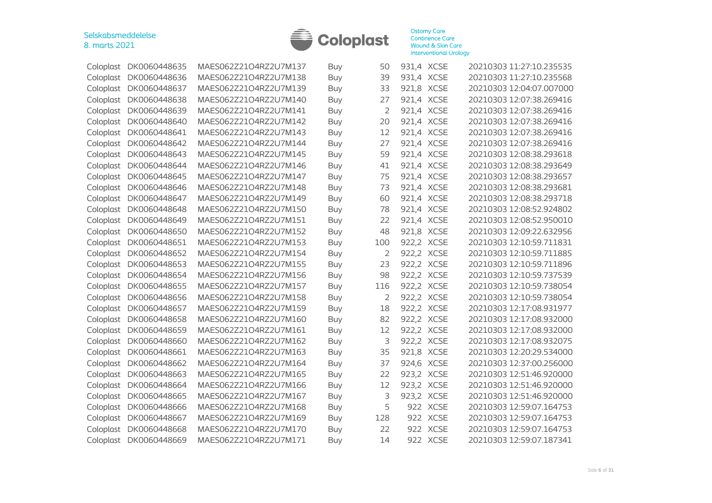

| Coloplast | DK0060448635 | MAES062Z21O4RZ2U7M137 | Buy        | 50  | 931,4 XCSE |             | 20210303 11:27:10.235535 |
|-----------|--------------|-----------------------|------------|-----|------------|-------------|--------------------------|
| Coloplast | DK0060448636 | MAES062Z21O4RZ2U7M138 | <b>Buy</b> | 39  | 931,4 XCSE |             | 20210303 11:27:10.235568 |
| Coloplast | DK0060448637 | MAES062Z21O4RZ2U7M139 | <b>Buy</b> | 33  | 921,8 XCSE |             | 20210303 12:04:07.007000 |
| Coloplast | DK0060448638 | MAES062Z21O4RZ2U7M140 | Buy        | 27  | 921,4 XCSE |             | 20210303 12:07:38.269416 |
| Coloplast | DK0060448639 | MAES062Z21O4RZ2U7M141 | <b>Buy</b> | 2   | 921,4 XCSE |             | 20210303 12:07:38.269416 |
| Coloplast | DK0060448640 | MAES062Z21O4RZ2U7M142 | Buy        | 20  | 921,4 XCSE |             | 20210303 12:07:38.269416 |
| Coloplast | DK0060448641 | MAES062Z21O4RZ2U7M143 | <b>Buy</b> | 12  | 921,4 XCSE |             | 20210303 12:07:38.269416 |
| Coloplast | DK0060448642 | MAES062Z21O4RZ2U7M144 | Buy        | 27  | 921,4 XCSE |             | 20210303 12:07:38.269416 |
| Coloplast | DK0060448643 | MAES062Z21O4RZ2U7M145 | <b>Buy</b> | 59  | 921,4 XCSE |             | 20210303 12:08:38.293618 |
| Coloplast | DK0060448644 | MAES062Z21O4RZ2U7M146 | Buy        | 41  | 921,4 XCSE |             | 20210303 12:08:38.293649 |
| Coloplast | DK0060448645 | MAES062Z21O4RZ2U7M147 | Buy        | 75  | 921,4 XCSE |             | 20210303 12:08:38.293657 |
| Coloplast | DK0060448646 | MAES062Z21O4RZ2U7M148 | Buy        | 73  | 921,4 XCSE |             | 20210303 12:08:38.293681 |
| Coloplast | DK0060448647 | MAES062Z21O4RZ2U7M149 | Buy        | 60  | 921,4 XCSE |             | 20210303 12:08:38.293718 |
| Coloplast | DK0060448648 | MAES062Z21O4RZ2U7M150 | <b>Buy</b> | 78  | 921,4 XCSE |             | 20210303 12:08:52.924802 |
| Coloplast | DK0060448649 | MAES062Z21O4RZ2U7M151 | <b>Buy</b> | 22  | 921,4 XCSE |             | 20210303 12:08:52.950010 |
| Coloplast | DK0060448650 | MAES062Z21O4RZ2U7M152 | <b>Buy</b> | 48  | 921,8 XCSE |             | 20210303 12:09:22.632956 |
| Coloplast | DK0060448651 | MAES062Z21O4RZ2U7M153 | Buy        | 100 | 922,2 XCSE |             | 20210303 12:10:59.711831 |
| Coloplast | DK0060448652 | MAES062Z21O4RZ2U7M154 | <b>Buy</b> | 2   | 922,2 XCSE |             | 20210303 12:10:59.711885 |
| Coloplast | DK0060448653 | MAES062Z21O4RZ2U7M155 | Buy        | 23  | 922,2 XCSE |             | 20210303 12:10:59.711896 |
| Coloplast | DK0060448654 | MAES062Z21O4RZ2U7M156 | <b>Buy</b> | 98  | 922,2 XCSE |             | 20210303 12:10:59.737539 |
| Coloplast | DK0060448655 | MAES062Z21O4RZ2U7M157 | Buy        | 116 | 922,2 XCSE |             | 20210303 12:10:59.738054 |
| Coloplast | DK0060448656 | MAES062Z21O4RZ2U7M158 | Buy        | 2   | 922,2 XCSE |             | 20210303 12:10:59.738054 |
| Coloplast | DK0060448657 | MAES062Z21O4RZ2U7M159 | Buy        | 18  | 922,2 XCSE |             | 20210303 12:17:08.931977 |
| Coloplast | DK0060448658 | MAES062Z21O4RZ2U7M160 | Buy        | 82  | 922,2 XCSE |             | 20210303 12:17:08.932000 |
| Coloplast | DK0060448659 | MAES062Z21O4RZ2U7M161 | <b>Buy</b> | 12  | 922,2 XCSE |             | 20210303 12:17:08.932000 |
| Coloplast | DK0060448660 | MAES062Z21O4RZ2U7M162 | Buy        | 3   | 922,2 XCSE |             | 20210303 12:17:08.932075 |
| Coloplast | DK0060448661 | MAES062Z21O4RZ2U7M163 | <b>Buy</b> | 35  | 921,8      | <b>XCSE</b> | 20210303 12:20:29.534000 |
| Coloplast | DK0060448662 | MAES062Z21O4RZ2U7M164 | Buy        | 37  | 924,6 XCSE |             | 20210303 12:37:00.256000 |
| Coloplast | DK0060448663 | MAES062Z21O4RZ2U7M165 | <b>Buy</b> | 22  | 923,2 XCSE |             | 20210303 12:51:46.920000 |
| Coloplast | DK0060448664 | MAES062Z21O4RZ2U7M166 | <b>Buy</b> | 12  | 923,2 XCSE |             | 20210303 12:51:46.920000 |
| Coloplast | DK0060448665 | MAES062Z21O4RZ2U7M167 | <b>Buy</b> | 3   | 923,2 XCSE |             | 20210303 12:51:46.920000 |
| Coloplast | DK0060448666 | MAES062Z21O4RZ2U7M168 | <b>Buy</b> | 5   | 922 XCSE   |             | 20210303 12:59:07.164753 |
| Coloplast | DK0060448667 | MAES062Z21O4RZ2U7M169 | <b>Buy</b> | 128 | 922 XCSE   |             | 20210303 12:59:07.164753 |
| Coloplast | DK0060448668 | MAES062Z21O4RZ2U7M170 | <b>Buy</b> | 22  | 922 XCSE   |             | 20210303 12:59:07.164753 |
| Coloplast | DK0060448669 | MAES062Z21O4RZ2U7M171 | <b>Buy</b> | 14  | 922 XCSE   |             | 20210303 12:59:07.187341 |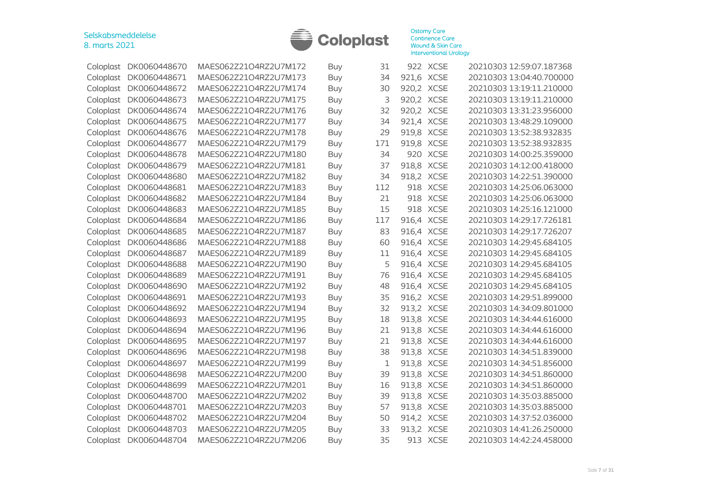

| Coloplast | DK0060448670 | MAES062Z21O4RZ2U7M172 | Buy        | 31  | 922 XCSE   |             | 20210303 12:59:07.187368 |
|-----------|--------------|-----------------------|------------|-----|------------|-------------|--------------------------|
| Coloplast | DK0060448671 | MAES062Z21O4RZ2U7M173 | <b>Buy</b> | 34  | 921,6 XCSE |             | 20210303 13:04:40.700000 |
| Coloplast | DK0060448672 | MAES062Z21O4RZ2U7M174 | Buy        | 30  | 920,2 XCSE |             | 20210303 13:19:11.210000 |
| Coloplast | DK0060448673 | MAES062Z21O4RZ2U7M175 | <b>Buy</b> | 3   | 920,2      | <b>XCSE</b> | 20210303 13:19:11.210000 |
| Coloplast | DK0060448674 | MAES062Z21O4RZ2U7M176 | Buy        | 32  | 920,2      | <b>XCSE</b> | 20210303 13:31:23.956000 |
| Coloplast | DK0060448675 | MAES062Z21O4RZ2U7M177 | <b>Buy</b> | 34  | 921,4      | <b>XCSE</b> | 20210303 13:48:29.109000 |
| Coloplast | DK0060448676 | MAES062Z21O4RZ2U7M178 | Buy        | 29  | 919,8      | <b>XCSE</b> | 20210303 13:52:38.932835 |
| Coloplast | DK0060448677 | MAES062Z21O4RZ2U7M179 | Buy        | 171 | 919,8 XCSE |             | 20210303 13:52:38.932835 |
| Coloplast | DK0060448678 | MAES062Z21O4RZ2U7M180 | <b>Buy</b> | 34  | 920 XCSE   |             | 20210303 14:00:25.359000 |
| Coloplast | DK0060448679 | MAES062Z21O4RZ2U7M181 | Buy        | 37  | 918,8      | <b>XCSE</b> | 20210303 14:12:00.418000 |
| Coloplast | DK0060448680 | MAES062Z21O4RZ2U7M182 | <b>Buy</b> | 34  | 918,2      | <b>XCSE</b> | 20210303 14:22:51.390000 |
| Coloplast | DK0060448681 | MAES062Z21O4RZ2U7M183 | <b>Buy</b> | 112 | 918        | <b>XCSE</b> | 20210303 14:25:06.063000 |
| Coloplast | DK0060448682 | MAES062Z21O4RZ2U7M184 | <b>Buy</b> | 21  | 918        | <b>XCSE</b> | 20210303 14:25:06.063000 |
| Coloplast | DK0060448683 | MAES062Z21O4RZ2U7M185 | <b>Buy</b> | 15  | 918        | <b>XCSE</b> | 20210303 14:25:16.121000 |
| Coloplast | DK0060448684 | MAES062Z21O4RZ2U7M186 | <b>Buy</b> | 117 | 916,4      | <b>XCSE</b> | 20210303 14:29:17.726181 |
| Coloplast | DK0060448685 | MAES062Z21O4RZ2U7M187 | <b>Buy</b> | 83  | 916,4 XCSE |             | 20210303 14:29:17.726207 |
| Coloplast | DK0060448686 | MAES062Z21O4RZ2U7M188 | <b>Buy</b> | 60  | 916,4 XCSE |             | 20210303 14:29:45.684105 |
| Coloplast | DK0060448687 | MAES062Z21O4RZ2U7M189 | <b>Buy</b> | 11  | 916,4 XCSE |             | 20210303 14:29:45.684105 |
| Coloplast | DK0060448688 | MAES062Z21O4RZ2U7M190 | Buy        | 5   | 916,4 XCSE |             | 20210303 14:29:45.684105 |
| Coloplast | DK0060448689 | MAES062Z21O4RZ2U7M191 | <b>Buy</b> | 76  | 916,4 XCSE |             | 20210303 14:29:45.684105 |
| Coloplast | DK0060448690 | MAES062Z21O4RZ2U7M192 | Buy        | 48  | 916,4 XCSE |             | 20210303 14:29:45.684105 |
| Coloplast | DK0060448691 | MAES062Z21O4RZ2U7M193 | <b>Buy</b> | 35  | 916,2 XCSE |             | 20210303 14:29:51.899000 |
| Coloplast | DK0060448692 | MAES062Z21O4RZ2U7M194 | <b>Buy</b> | 32  | 913,2 XCSE |             | 20210303 14:34:09.801000 |
| Coloplast | DK0060448693 | MAES062Z21O4RZ2U7M195 | Buy        | 18  | 913,8 XCSE |             | 20210303 14:34:44.616000 |
| Coloplast | DK0060448694 | MAES062Z21O4RZ2U7M196 | <b>Buy</b> | 21  | 913,8 XCSE |             | 20210303 14:34:44.616000 |
| Coloplast | DK0060448695 | MAES062Z21O4RZ2U7M197 | <b>Buy</b> | 21  | 913,8      | <b>XCSE</b> | 20210303 14:34:44.616000 |
| Coloplast | DK0060448696 | MAES062Z21O4RZ2U7M198 | <b>Buy</b> | 38  | 913,8      | <b>XCSE</b> | 20210303 14:34:51.839000 |
| Coloplast | DK0060448697 | MAES062Z21O4RZ2U7M199 | <b>Buy</b> | 1   | 913,8 XCSE |             | 20210303 14:34:51.856000 |
| Coloplast | DK0060448698 | MAES062Z21O4RZ2U7M200 | Buy        | 39  | 913,8 XCSE |             | 20210303 14:34:51.860000 |
| Coloplast | DK0060448699 | MAES062Z21O4RZ2U7M201 | <b>Buy</b> | 16  | 913,8 XCSE |             | 20210303 14:34:51.860000 |
| Coloplast | DK0060448700 | MAES062Z21O4RZ2U7M202 | Buy        | 39  | 913,8 XCSE |             | 20210303 14:35:03.885000 |
| Coloplast | DK0060448701 | MAES062Z21O4RZ2U7M203 | <b>Buy</b> | 57  | 913,8 XCSE |             | 20210303 14:35:03.885000 |
| Coloplast | DK0060448702 | MAES062Z21O4RZ2U7M204 | Buy        | 50  | 914,2 XCSE |             | 20210303 14:37:52.036000 |
| Coloplast | DK0060448703 | MAES062Z21O4RZ2U7M205 | <b>Buy</b> | 33  | 913,2      | <b>XCSE</b> | 20210303 14:41:26.250000 |
| Coloplast | DK0060448704 | MAES062Z21O4RZ2U7M206 | Buy        | 35  | 913 XCSE   |             | 20210303 14:42:24.458000 |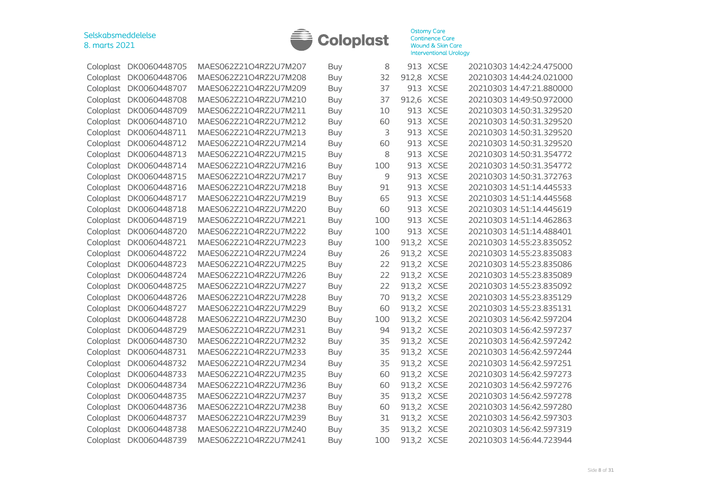

| DK0060448705<br>Coloplast | MAES062Z21O4RZ2U7M207 | Buy        | 8   |       | 913 XCSE    | 20210303 14:42:24.475000                                                                                                                                                                                                                                                            |
|---------------------------|-----------------------|------------|-----|-------|-------------|-------------------------------------------------------------------------------------------------------------------------------------------------------------------------------------------------------------------------------------------------------------------------------------|
|                           |                       |            |     |       |             |                                                                                                                                                                                                                                                                                     |
|                           | MAES062Z21O4RZ2U7M208 | <b>Buy</b> | 32  | 912,8 |             | 20210303 14:44:24.021000                                                                                                                                                                                                                                                            |
| Coloplast<br>DK0060448707 | MAES062Z21O4RZ2U7M209 | Buy        | 37  | 913   | <b>XCSE</b> | 20210303 14:47:21.880000                                                                                                                                                                                                                                                            |
| DK0060448708<br>Coloplast | MAES062Z21O4RZ2U7M210 | <b>Buy</b> | 37  | 912,6 | <b>XCSE</b> | 20210303 14:49:50.972000                                                                                                                                                                                                                                                            |
| DK0060448709<br>Coloplast | MAES062Z21O4RZ2U7M211 | <b>Buy</b> | 10  | 913   | <b>XCSE</b> | 20210303 14:50:31.329520                                                                                                                                                                                                                                                            |
| DK0060448710<br>Coloplast | MAES062Z21O4RZ2U7M212 | <b>Buy</b> | 60  | 913   | <b>XCSE</b> | 20210303 14:50:31.329520                                                                                                                                                                                                                                                            |
| DK0060448711              | MAES062Z21O4RZ2U7M213 | <b>Buy</b> | 3   | 913   | <b>XCSE</b> | 20210303 14:50:31.329520                                                                                                                                                                                                                                                            |
| DK0060448712              | MAES062Z21O4RZ2U7M214 | Buy        | 60  | 913   | <b>XCSE</b> | 20210303 14:50:31.329520                                                                                                                                                                                                                                                            |
| DK0060448713              | MAES062Z21O4RZ2U7M215 | Buy        | 8   | 913   |             | 20210303 14:50:31.354772                                                                                                                                                                                                                                                            |
| DK0060448714              | MAES062Z21O4RZ2U7M216 | <b>Buy</b> | 100 | 913   | <b>XCSE</b> | 20210303 14:50:31.354772                                                                                                                                                                                                                                                            |
| DK0060448715              | MAES062Z21O4RZ2U7M217 | <b>Buy</b> | 9   | 913   | <b>XCSE</b> | 20210303 14:50:31.372763                                                                                                                                                                                                                                                            |
| DK0060448716<br>Coloplast | MAES062Z21O4RZ2U7M218 | <b>Buy</b> | 91  | 913   | <b>XCSE</b> | 20210303 14:51:14.445533                                                                                                                                                                                                                                                            |
| Coloplast<br>DK0060448717 | MAES062Z21O4RZ2U7M219 | <b>Buy</b> | 65  | 913   | <b>XCSE</b> | 20210303 14:51:14.445568                                                                                                                                                                                                                                                            |
| DK0060448718<br>Coloplast | MAES062Z21O4RZ2U7M220 | <b>Buy</b> | 60  | 913   | <b>XCSE</b> | 20210303 14:51:14.445619                                                                                                                                                                                                                                                            |
| DK0060448719<br>Coloplast | MAES062Z21O4RZ2U7M221 | <b>Buy</b> | 100 | 913   | <b>XCSE</b> | 20210303 14:51:14.462863                                                                                                                                                                                                                                                            |
| Coloplast<br>DK0060448720 | MAES062Z21O4RZ2U7M222 | <b>Buy</b> | 100 |       |             | 20210303 14:51:14.488401                                                                                                                                                                                                                                                            |
| DK0060448721              | MAES062Z21O4RZ2U7M223 | <b>Buy</b> | 100 |       |             | 20210303 14:55:23.835052                                                                                                                                                                                                                                                            |
| DK0060448722              | MAES062Z21O4RZ2U7M224 | <b>Buy</b> | 26  |       |             | 20210303 14:55:23.835083                                                                                                                                                                                                                                                            |
| DK0060448723<br>Coloplast | MAES062Z21O4RZ2U7M225 | <b>Buy</b> | 22  | 913,2 |             | 20210303 14:55:23.835086                                                                                                                                                                                                                                                            |
| DK0060448724<br>Coloplast | MAES062Z21O4RZ2U7M226 | <b>Buy</b> | 22  |       |             | 20210303 14:55:23.835089                                                                                                                                                                                                                                                            |
| DK0060448725<br>Coloplast | MAES062Z21O4RZ2U7M227 | <b>Buy</b> | 22  | 913,2 | <b>XCSE</b> | 20210303 14:55:23.835092                                                                                                                                                                                                                                                            |
| DK0060448726              | MAES062Z21O4RZ2U7M228 | <b>Buy</b> | 70  | 913,2 |             | 20210303 14:55:23.835129                                                                                                                                                                                                                                                            |
| Coloplast<br>DK0060448727 | MAES062Z21O4RZ2U7M229 | <b>Buy</b> | 60  |       |             | 20210303 14:55:23.835131                                                                                                                                                                                                                                                            |
| DK0060448728              | MAES062Z21O4RZ2U7M230 | <b>Buy</b> | 100 |       |             | 20210303 14:56:42.597204                                                                                                                                                                                                                                                            |
| DK0060448729              | MAES062Z21O4RZ2U7M231 | <b>Buy</b> | 94  |       |             | 20210303 14:56:42.597237                                                                                                                                                                                                                                                            |
| DK0060448730              | MAES062Z21O4RZ2U7M232 | <b>Buy</b> | 35  | 913,2 |             | 20210303 14:56:42.597242                                                                                                                                                                                                                                                            |
| DK0060448731<br>Coloplast | MAES062Z21O4RZ2U7M233 | <b>Buy</b> | 35  | 913,2 | <b>XCSE</b> | 20210303 14:56:42.597244                                                                                                                                                                                                                                                            |
| DK0060448732<br>Coloplast | MAES062Z21O4RZ2U7M234 | <b>Buy</b> | 35  |       |             | 20210303 14:56:42.597251                                                                                                                                                                                                                                                            |
| DK0060448733<br>Coloplast | MAES062Z21O4RZ2U7M235 | <b>Buy</b> | 60  | 913,2 | <b>XCSE</b> | 20210303 14:56:42.597273                                                                                                                                                                                                                                                            |
| Coloplast<br>DK0060448734 | MAES062Z21O4RZ2U7M236 | <b>Buy</b> | 60  |       |             | 20210303 14:56:42.597276                                                                                                                                                                                                                                                            |
| Coloplast<br>DK0060448735 | MAES062Z21O4RZ2U7M237 | <b>Buy</b> | 35  |       |             | 20210303 14:56:42.597278                                                                                                                                                                                                                                                            |
| DK0060448736              | MAES062Z21O4RZ2U7M238 | <b>Buy</b> | 60  |       |             | 20210303 14:56:42.597280                                                                                                                                                                                                                                                            |
| DK0060448737              | MAES062Z21O4RZ2U7M239 | <b>Buy</b> | 31  |       |             | 20210303 14:56:42.597303                                                                                                                                                                                                                                                            |
| DK0060448738              | MAES062Z21O4RZ2U7M240 | <b>Buy</b> | 35  |       |             | 20210303 14:56:42.597319                                                                                                                                                                                                                                                            |
| DK0060448739<br>Coloplast | MAES062Z21O4RZ2U7M241 | <b>Buy</b> | 100 |       |             | 20210303 14:56:44.723944                                                                                                                                                                                                                                                            |
|                           | DK0060448706          |            |     |       |             | <b>XCSE</b><br><b>XCSE</b><br>913 XCSE<br>913,2<br><b>XCSE</b><br>913,2 XCSE<br><b>XCSE</b><br>913,2 XCSE<br><b>XCSE</b><br>913,2 XCSE<br>913,2 XCSE<br>913,2 XCSE<br><b>XCSE</b><br>913,2 XCSE<br>913,2 XCSE<br>913,2 XCSE<br>913,2 XCSE<br>913,2 XCSE<br>913,2 XCSE<br>913,2 XCSE |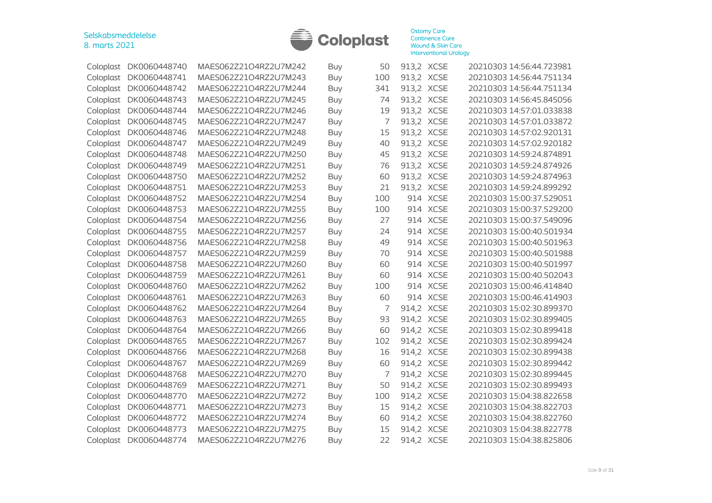

|           | Coloplast DK0060448740 | MAES062Z21O4RZ2U7M242 | <b>Buy</b> | 50  | 913,2 XCSE |             | 20210303 14:56:44.723981 |
|-----------|------------------------|-----------------------|------------|-----|------------|-------------|--------------------------|
| Coloplast | DK0060448741           | MAES062Z21O4RZ2U7M243 | <b>Buy</b> | 100 | 913,2 XCSE |             | 20210303 14:56:44.751134 |
| Coloplast | DK0060448742           | MAES062Z21O4RZ2U7M244 | <b>Buy</b> | 341 | 913,2 XCSE |             | 20210303 14:56:44.751134 |
| Coloplast | DK0060448743           | MAES062Z21O4RZ2U7M245 | Buy        | 74  | 913,2 XCSE |             | 20210303 14:56:45.845056 |
| Coloplast | DK0060448744           | MAES062Z21O4RZ2U7M246 | <b>Buy</b> | 19  | 913,2      | <b>XCSE</b> | 20210303 14:57:01.033838 |
| Coloplast | DK0060448745           | MAES062Z21O4RZ2U7M247 | Buy        | 7   | 913,2 XCSE |             | 20210303 14:57:01.033872 |
| Coloplast | DK0060448746           | MAES062Z21O4RZ2U7M248 | Buy        | 15  | 913,2 XCSE |             | 20210303 14:57:02.920131 |
| Coloplast | DK0060448747           | MAES062Z21O4RZ2U7M249 | <b>Buy</b> | 40  | 913,2      | <b>XCSE</b> | 20210303 14:57:02.920182 |
| Coloplast | DK0060448748           | MAES062Z21O4RZ2U7M250 | Buy        | 45  | 913,2 XCSE |             | 20210303 14:59:24.874891 |
| Coloplast | DK0060448749           | MAES062Z21O4RZ2U7M251 | Buy        | 76  | 913,2 XCSE |             | 20210303 14:59:24.874926 |
| Coloplast | DK0060448750           | MAES062Z21O4RZ2U7M252 | <b>Buy</b> | 60  | 913,2 XCSE |             | 20210303 14:59:24.874963 |
| Coloplast | DK0060448751           | MAES062Z21O4RZ2U7M253 | Buy        | 21  | 913,2 XCSE |             | 20210303 14:59:24.899292 |
| Coloplast | DK0060448752           | MAES062Z21O4RZ2U7M254 | <b>Buy</b> | 100 | 914        | <b>XCSE</b> | 20210303 15:00:37.529051 |
| Coloplast | DK0060448753           | MAES062Z21O4RZ2U7M255 | <b>Buy</b> | 100 | 914        | <b>XCSE</b> | 20210303 15:00:37.529200 |
| Coloplast | DK0060448754           | MAES062Z21O4RZ2U7M256 | <b>Buy</b> | 27  | 914        | <b>XCSE</b> | 20210303 15:00:37.549096 |
| Coloplast | DK0060448755           | MAES062Z21O4RZ2U7M257 | <b>Buy</b> | 24  | 914        | <b>XCSE</b> | 20210303 15:00:40.501934 |
| Coloplast | DK0060448756           | MAES062Z21O4RZ2U7M258 | <b>Buy</b> | 49  | 914        | <b>XCSE</b> | 20210303 15:00:40.501963 |
| Coloplast | DK0060448757           | MAES062Z21O4RZ2U7M259 | Buy        | 70  | 914 XCSE   |             | 20210303 15:00:40.501988 |
| Coloplast | DK0060448758           | MAES062Z21O4RZ2U7M260 | <b>Buy</b> | 60  | 914 XCSE   |             | 20210303 15:00:40.501997 |
| Coloplast | DK0060448759           | MAES062Z21O4RZ2U7M261 | Buy        | 60  | 914 XCSE   |             | 20210303 15:00:40.502043 |
| Coloplast | DK0060448760           | MAES062Z21O4RZ2U7M262 | <b>Buy</b> | 100 | 914        | <b>XCSE</b> | 20210303 15:00:46.414840 |
| Coloplast | DK0060448761           | MAES062Z21O4RZ2U7M263 | <b>Buy</b> | 60  | 914        | <b>XCSE</b> | 20210303 15:00:46.414903 |
| Coloplast | DK0060448762           | MAES062Z21O4RZ2U7M264 | Buy        | 7   | 914,2      | <b>XCSE</b> | 20210303 15:02:30.899370 |
| Coloplast | DK0060448763           | MAES062Z21O4RZ2U7M265 | <b>Buy</b> | 93  | 914,2      | <b>XCSE</b> | 20210303 15:02:30.899405 |
| Coloplast | DK0060448764           | MAES062Z21O4RZ2U7M266 | <b>Buy</b> | 60  | 914,2 XCSE |             | 20210303 15:02:30.899418 |
| Coloplast | DK0060448765           | MAES062Z21O4RZ2U7M267 | Buy        | 102 | 914,2 XCSE |             | 20210303 15:02:30.899424 |
| Coloplast | DK0060448766           | MAES062Z21O4RZ2U7M268 | Buy        | 16  | 914,2 XCSE |             | 20210303 15:02:30.899438 |
| Coloplast | DK0060448767           | MAES062Z21O4RZ2U7M269 | <b>Buy</b> | 60  | 914,2 XCSE |             | 20210303 15:02:30.899442 |
| Coloplast | DK0060448768           | MAES062Z21O4RZ2U7M270 | Buy        | 7   | 914,2 XCSE |             | 20210303 15:02:30.899445 |
| Coloplast | DK0060448769           | MAES062Z21O4RZ2U7M271 | <b>Buy</b> | 50  | 914,2 XCSE |             | 20210303 15:02:30.899493 |
| Coloplast | DK0060448770           | MAES062Z21O4RZ2U7M272 | <b>Buy</b> | 100 | 914,2 XCSE |             | 20210303 15:04:38.822658 |
| Coloplast | DK0060448771           | MAES062Z21O4RZ2U7M273 | Buy        | 15  | 914,2 XCSE |             | 20210303 15:04:38.822703 |
| Coloplast | DK0060448772           | MAES062Z21O4RZ2U7M274 | <b>Buy</b> | 60  | 914,2 XCSE |             | 20210303 15:04:38.822760 |
| Coloplast | DK0060448773           | MAES062Z21O4RZ2U7M275 | <b>Buy</b> | 15  | 914,2 XCSE |             | 20210303 15:04:38.822778 |
|           | Coloplast DK0060448774 | MAES062Z21O4RZ2U7M276 | <b>Buy</b> | 22  | 914,2 XCSE |             | 20210303 15:04:38.825806 |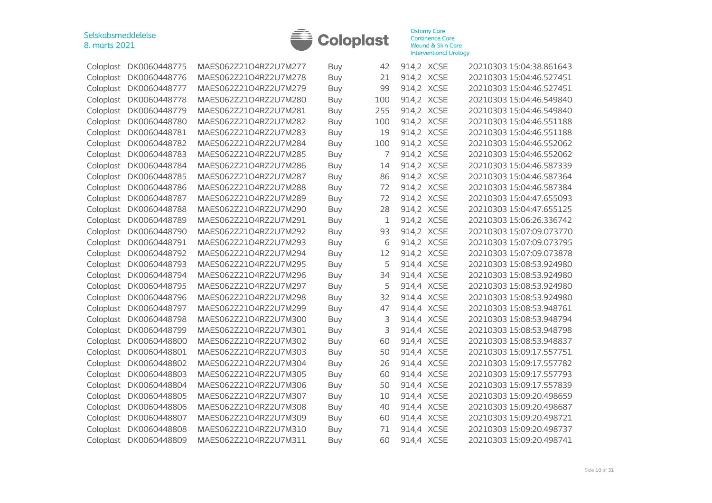

| Coloplast | DK0060448775 | MAES062Z21O4RZ2U7M277 | Buy        | 42  | 914,2 XCSE |             | 20210303 15:04:38.861643 |
|-----------|--------------|-----------------------|------------|-----|------------|-------------|--------------------------|
| Coloplast | DK0060448776 | MAES062Z21O4RZ2U7M278 | <b>Buy</b> | 21  | 914,2 XCSE |             | 20210303 15:04:46.527451 |
| Coloplast | DK0060448777 | MAES062Z21O4RZ2U7M279 | Buy        | 99  | 914,2 XCSE |             | 20210303 15:04:46.527451 |
| Coloplast | DK0060448778 | MAES062Z21O4RZ2U7M280 | Buy        | 100 | 914,2 XCSE |             | 20210303 15:04:46.549840 |
| Coloplast | DK0060448779 | MAES062Z21O4RZ2U7M281 | <b>Buy</b> | 255 | 914,2 XCSE |             | 20210303 15:04:46.549840 |
| Coloplast | DK0060448780 | MAES062Z21O4RZ2U7M282 | Buy        | 100 | 914,2 XCSE |             | 20210303 15:04:46.551188 |
| Coloplast | DK0060448781 | MAES062Z21O4RZ2U7M283 | <b>Buy</b> | 19  | 914,2 XCSE |             | 20210303 15:04:46.551188 |
| Coloplast | DK0060448782 | MAES062Z21O4RZ2U7M284 | <b>Buy</b> | 100 | 914,2 XCSE |             | 20210303 15:04:46.552062 |
| Coloplast | DK0060448783 | MAES062Z21O4RZ2U7M285 | Buy        | 7   | 914,2 XCSE |             | 20210303 15:04:46.552062 |
| Coloplast | DK0060448784 | MAES062Z21O4RZ2U7M286 | <b>Buy</b> | 14  | 914,2 XCSE |             | 20210303 15:04:46.587339 |
| Coloplast | DK0060448785 | MAES062Z21O4RZ2U7M287 | Buy        | 86  | 914,2 XCSE |             | 20210303 15:04:46.587364 |
| Coloplast | DK0060448786 | MAES062Z21O4RZ2U7M288 | <b>Buy</b> | 72  | 914,2 XCSE |             | 20210303 15:04:46.587384 |
| Coloplast | DK0060448787 | MAES062Z21O4RZ2U7M289 | <b>Buy</b> | 72  | 914,2 XCSE |             | 20210303 15:04:47.655093 |
| Coloplast | DK0060448788 | MAES062Z21O4RZ2U7M290 | <b>Buy</b> | 28  | 914,2      | <b>XCSE</b> | 20210303 15:04:47.655125 |
| Coloplast | DK0060448789 | MAES062Z21O4RZ2U7M291 | <b>Buy</b> | 1   | 914,2 XCSE |             | 20210303 15:06:26.336742 |
| Coloplast | DK0060448790 | MAES062Z21O4RZ2U7M292 | <b>Buy</b> | 93  | 914,2      | <b>XCSE</b> | 20210303 15:07:09.073770 |
| Coloplast | DK0060448791 | MAES062Z21O4RZ2U7M293 | <b>Buy</b> | 6   | 914,2      | <b>XCSE</b> | 20210303 15:07:09.073795 |
| Coloplast | DK0060448792 | MAES062Z21O4RZ2U7M294 | <b>Buy</b> | 12  | 914,2 XCSE |             | 20210303 15:07:09.073878 |
| Coloplast | DK0060448793 | MAES062Z21O4RZ2U7M295 | Buy        | 5   | 914,4 XCSE |             | 20210303 15:08:53.924980 |
| Coloplast | DK0060448794 | MAES062Z21O4RZ2U7M296 | Buy        | 34  | 914,4 XCSE |             | 20210303 15:08:53.924980 |
| Coloplast | DK0060448795 | MAES062Z21O4RZ2U7M297 | <b>Buy</b> | 5   | 914,4 XCSE |             | 20210303 15:08:53.924980 |
| Coloplast | DK0060448796 | MAES062Z21O4RZ2U7M298 | Buy        | 32  | 914,4 XCSE |             | 20210303 15:08:53.924980 |
| Coloplast | DK0060448797 | MAES062Z21O4RZ2U7M299 | Buy        | 47  | 914,4 XCSE |             | 20210303 15:08:53.948761 |
| Coloplast | DK0060448798 | MAES062Z21O4RZ2U7M300 | Buy        | 3   | 914,4      | <b>XCSE</b> | 20210303 15:08:53.948794 |
| Coloplast | DK0060448799 | MAES062Z21O4RZ2U7M301 | Buy        | 3   | 914,4 XCSE |             | 20210303 15:08:53.948798 |
| Coloplast | DK0060448800 | MAES062Z21O4RZ2U7M302 | <b>Buy</b> | 60  | 914,4 XCSE |             | 20210303 15:08:53.948837 |
| Coloplast | DK0060448801 | MAES062Z21O4RZ2U7M303 | Buy        | 50  | 914,4 XCSE |             | 20210303 15:09:17.557751 |
| Coloplast | DK0060448802 | MAES062Z21O4RZ2U7M304 | <b>Buy</b> | 26  | 914,4 XCSE |             | 20210303 15:09:17.557782 |
| Coloplast | DK0060448803 | MAES062Z21O4RZ2U7M305 | <b>Buy</b> | 60  | 914,4      | <b>XCSE</b> | 20210303 15:09:17.557793 |
| Coloplast | DK0060448804 | MAES062Z21O4RZ2U7M306 | <b>Buy</b> | 50  | 914,4      | <b>XCSE</b> | 20210303 15:09:17.557839 |
| Coloplast | DK0060448805 | MAES062Z21O4RZ2U7M307 | <b>Buy</b> | 10  | 914,4      | <b>XCSE</b> | 20210303 15:09:20.498659 |
| Coloplast | DK0060448806 | MAES062Z21O4RZ2U7M308 | Buy        | 40  | 914,4      | <b>XCSE</b> | 20210303 15:09:20.498687 |
| Coloplast | DK0060448807 | MAES062Z21O4RZ2U7M309 | <b>Buy</b> | 60  | 914,4 XCSE |             | 20210303 15:09:20.498721 |
| Coloplast | DK0060448808 | MAES062Z21O4RZ2U7M310 | <b>Buy</b> | 71  | 914,4 XCSE |             | 20210303 15:09:20.498737 |
| Coloplast | DK0060448809 | MAES062Z21O4RZ2U7M311 | Buy        | 60  | 914,4 XCSE |             | 20210303 15:09:20.498741 |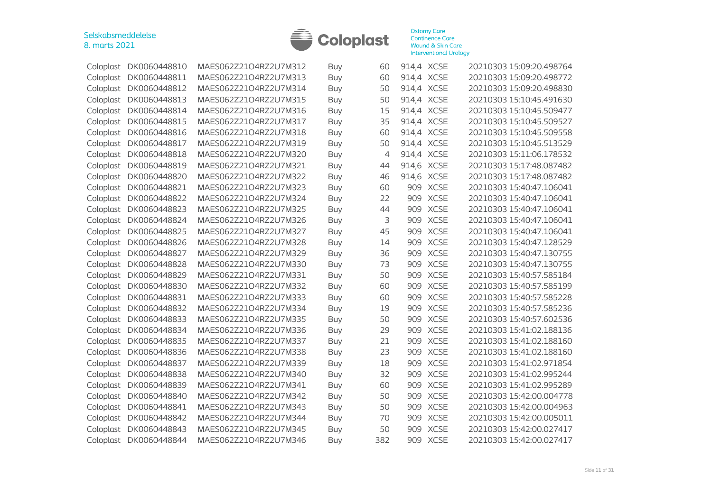

| Coloplast | DK0060448810 | MAES062Z21O4RZ2U7M312 | <b>Buy</b> | 60  | 914,4 XCSE |             | 20210303 15:09:20.498764 |
|-----------|--------------|-----------------------|------------|-----|------------|-------------|--------------------------|
| Coloplast | DK0060448811 | MAES062Z21O4RZ2U7M313 | <b>Buy</b> | 60  | 914,4 XCSE |             | 20210303 15:09:20.498772 |
| Coloplast | DK0060448812 | MAES062Z21O4RZ2U7M314 | Buy        | 50  | 914,4 XCSE |             | 20210303 15:09:20.498830 |
| Coloplast | DK0060448813 | MAES062Z21O4RZ2U7M315 | <b>Buy</b> | 50  | 914,4 XCSE |             | 20210303 15:10:45.491630 |
| Coloplast | DK0060448814 | MAES062Z21O4RZ2U7M316 | <b>Buy</b> | 15  | 914,4 XCSE |             | 20210303 15:10:45.509477 |
| Coloplast | DK0060448815 | MAES062Z21O4RZ2U7M317 | <b>Buy</b> | 35  | 914,4 XCSE |             | 20210303 15:10:45.509527 |
| Coloplast | DK0060448816 | MAES062Z21O4RZ2U7M318 | <b>Buy</b> | 60  | 914,4 XCSE |             | 20210303 15:10:45.509558 |
| Coloplast | DK0060448817 | MAES062Z21O4RZ2U7M319 | <b>Buy</b> | 50  | 914,4      | <b>XCSE</b> | 20210303 15:10:45.513529 |
| Coloplast | DK0060448818 | MAES062Z21O4RZ2U7M320 | Buy        | 4   | 914,4      | <b>XCSE</b> | 20210303 15:11:06.178532 |
| Coloplast | DK0060448819 | MAES062Z21O4RZ2U7M321 | <b>Buy</b> | 44  | 914,6 XCSE |             | 20210303 15:17:48.087482 |
| Coloplast | DK0060448820 | MAES062Z21O4RZ2U7M322 | <b>Buy</b> | 46  | 914,6      | <b>XCSE</b> | 20210303 15:17:48.087482 |
| Coloplast | DK0060448821 | MAES062Z21O4RZ2U7M323 | <b>Buy</b> | 60  | 909        | <b>XCSE</b> | 20210303 15:40:47.106041 |
| Coloplast | DK0060448822 | MAES062Z21O4RZ2U7M324 | <b>Buy</b> | 22  | 909        | <b>XCSE</b> | 20210303 15:40:47.106041 |
| Coloplast | DK0060448823 | MAES062Z21O4RZ2U7M325 | <b>Buy</b> | 44  | 909        | <b>XCSE</b> | 20210303 15:40:47.106041 |
| Coloplast | DK0060448824 | MAES062Z21O4RZ2U7M326 | <b>Buy</b> | 3   | 909        | <b>XCSE</b> | 20210303 15:40:47.106041 |
| Coloplast | DK0060448825 | MAES062Z21O4RZ2U7M327 | <b>Buy</b> | 45  | 909        | <b>XCSE</b> | 20210303 15:40:47.106041 |
| Coloplast | DK0060448826 | MAES062Z21O4RZ2U7M328 | <b>Buy</b> | 14  | 909        | <b>XCSE</b> | 20210303 15:40:47.128529 |
| Coloplast | DK0060448827 | MAES062Z21O4RZ2U7M329 | Buy        | 36  | 909        | <b>XCSE</b> | 20210303 15:40:47.130755 |
| Coloplast | DK0060448828 | MAES062Z21O4RZ2U7M330 | <b>Buy</b> | 73  | 909        | <b>XCSE</b> | 20210303 15:40:47.130755 |
| Coloplast | DK0060448829 | MAES062Z21O4RZ2U7M331 | Buy        | 50  | 909        | <b>XCSE</b> | 20210303 15:40:57.585184 |
| Coloplast | DK0060448830 | MAES062Z21O4RZ2U7M332 | <b>Buy</b> | 60  | 909        | <b>XCSE</b> | 20210303 15:40:57.585199 |
| Coloplast | DK0060448831 | MAES062Z21O4RZ2U7M333 | <b>Buy</b> | 60  | 909        | <b>XCSE</b> | 20210303 15:40:57.585228 |
| Coloplast | DK0060448832 | MAES062Z21O4RZ2U7M334 | <b>Buy</b> | 19  | 909        | <b>XCSE</b> | 20210303 15:40:57.585236 |
| Coloplast | DK0060448833 | MAES062Z21O4RZ2U7M335 | Buy        | 50  | 909        | <b>XCSE</b> | 20210303 15:40:57.602536 |
| Coloplast | DK0060448834 | MAES062Z21O4RZ2U7M336 | Buy        | 29  | 909        | <b>XCSE</b> | 20210303 15:41:02.188136 |
| Coloplast | DK0060448835 | MAES062Z21O4RZ2U7M337 | Buy        | 21  | 909        | <b>XCSE</b> | 20210303 15:41:02.188160 |
| Coloplast | DK0060448836 | MAES062Z21O4RZ2U7M338 | <b>Buy</b> | 23  | 909        | <b>XCSE</b> | 20210303 15:41:02.188160 |
| Coloplast | DK0060448837 | MAES062Z21O4RZ2U7M339 | <b>Buy</b> | 18  | 909        | <b>XCSE</b> | 20210303 15:41:02.971854 |
| Coloplast | DK0060448838 | MAES062Z21O4RZ2U7M340 | Buy        | 32  | 909        | <b>XCSE</b> | 20210303 15:41:02.995244 |
| Coloplast | DK0060448839 | MAES062Z21O4RZ2U7M341 | <b>Buy</b> | 60  | 909        | <b>XCSE</b> | 20210303 15:41:02.995289 |
| Coloplast | DK0060448840 | MAES062Z21O4RZ2U7M342 | <b>Buy</b> | 50  | 909        | <b>XCSE</b> | 20210303 15:42:00.004778 |
| Coloplast | DK0060448841 | MAES062Z21O4RZ2U7M343 | <b>Buy</b> | 50  | 909        | <b>XCSE</b> | 20210303 15:42:00.004963 |
| Coloplast | DK0060448842 | MAES062Z21O4RZ2U7M344 | <b>Buy</b> | 70  | 909        | <b>XCSE</b> | 20210303 15:42:00.005011 |
| Coloplast | DK0060448843 | MAES062Z21O4RZ2U7M345 | <b>Buy</b> | 50  | 909        | <b>XCSE</b> | 20210303 15:42:00.027417 |
| Coloplast | DK0060448844 | MAES062Z21O4RZ2U7M346 | Buy        | 382 | 909 XCSE   |             | 20210303 15:42:00.027417 |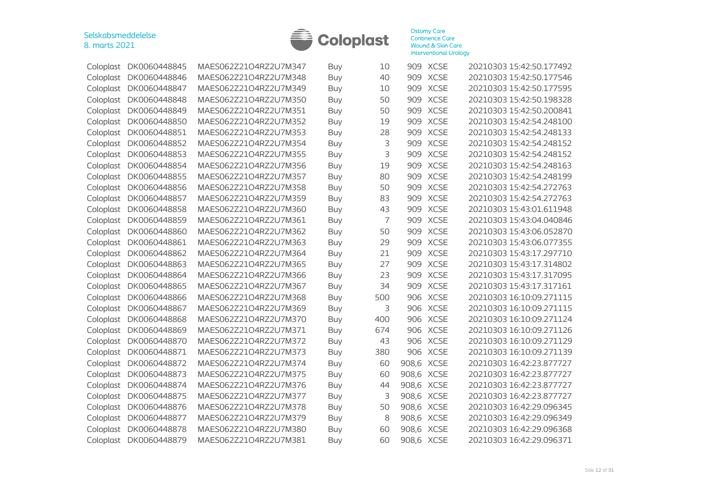

| Coloplast | DK0060448845 | MAES062Z21O4RZ2U7M347 | <b>Buy</b> | 10  |            | 909 XCSE    | 20210303 15:42:50.177492 |
|-----------|--------------|-----------------------|------------|-----|------------|-------------|--------------------------|
| Coloplast | DK0060448846 | MAES062Z21O4RZ2U7M348 | Buy        | 40  |            | 909 XCSE    | 20210303 15:42:50.177546 |
| Coloplast | DK0060448847 | MAES062Z21O4RZ2U7M349 | <b>Buy</b> | 10  | 909        | <b>XCSE</b> | 20210303 15:42:50.177595 |
| Coloplast | DK0060448848 | MAES062Z21O4RZ2U7M350 | Buy        | 50  | 909        | <b>XCSE</b> | 20210303 15:42:50.198328 |
| Coloplast | DK0060448849 | MAES062Z21O4RZ2U7M351 | Buy        | 50  | 909        | <b>XCSE</b> | 20210303 15:42:50.200841 |
| Coloplast | DK0060448850 | MAES062Z21O4RZ2U7M352 | <b>Buy</b> | 19  | 909        | <b>XCSE</b> | 20210303 15:42:54.248100 |
| Coloplast | DK0060448851 | MAES062Z21O4RZ2U7M353 | Buy        | 28  | 909        | <b>XCSE</b> | 20210303 15:42:54.248133 |
| Coloplast | DK0060448852 | MAES062Z21O4RZ2U7M354 | Buy        | 3   | 909        | <b>XCSE</b> | 20210303 15:42:54.248152 |
| Coloplast | DK0060448853 | MAES062Z21O4RZ2U7M355 | <b>Buy</b> | 3   | 909        | <b>XCSE</b> | 20210303 15:42:54.248152 |
| Coloplast | DK0060448854 | MAES062Z21O4RZ2U7M356 | <b>Buy</b> | 19  | 909        | <b>XCSE</b> | 20210303 15:42:54.248163 |
| Coloplast | DK0060448855 | MAES062Z21O4RZ2U7M357 | Buy        | 80  | 909        | <b>XCSE</b> | 20210303 15:42:54.248199 |
| Coloplast | DK0060448856 | MAES062Z21O4RZ2U7M358 | Buy        | 50  | 909        | <b>XCSE</b> | 20210303 15:42:54.272763 |
| Coloplast | DK0060448857 | MAES062Z21O4RZ2U7M359 | <b>Buy</b> | 83  | 909        | <b>XCSE</b> | 20210303 15:42:54.272763 |
| Coloplast | DK0060448858 | MAES062Z21O4RZ2U7M360 | Buy        | 43  | 909        | <b>XCSE</b> | 20210303 15:43:01.611948 |
| Coloplast | DK0060448859 | MAES062Z21O4RZ2U7M361 | <b>Buy</b> | 7   | 909        | <b>XCSE</b> | 20210303 15:43:04.040846 |
| Coloplast | DK0060448860 | MAES062Z21O4RZ2U7M362 | <b>Buy</b> | 50  | 909        | <b>XCSE</b> | 20210303 15:43:06.052870 |
| Coloplast | DK0060448861 | MAES062Z21O4RZ2U7M363 | <b>Buy</b> | 29  | 909        | <b>XCSE</b> | 20210303 15:43:06.077355 |
| Coloplast | DK0060448862 | MAES062Z21O4RZ2U7M364 | Buy        | 21  | 909        | <b>XCSE</b> | 20210303 15:43:17.297710 |
| Coloplast | DK0060448863 | MAES062Z21O4RZ2U7M365 | Buy        | 27  | 909        | <b>XCSE</b> | 20210303 15:43:17.314802 |
| Coloplast | DK0060448864 | MAES062Z21O4RZ2U7M366 | Buy        | 23  | 909        | <b>XCSE</b> | 20210303 15:43:17.317095 |
| Coloplast | DK0060448865 | MAES062Z21O4RZ2U7M367 | Buy        | 34  | 909        | <b>XCSE</b> | 20210303 15:43:17.317161 |
| Coloplast | DK0060448866 | MAES062Z21O4RZ2U7M368 | Buy        | 500 | 906        | <b>XCSE</b> | 20210303 16:10:09.271115 |
| Coloplast | DK0060448867 | MAES062Z21O4RZ2U7M369 | <b>Buy</b> | 3   | 906        | <b>XCSE</b> | 20210303 16:10:09.271115 |
| Coloplast | DK0060448868 | MAES062Z21O4RZ2U7M370 | Buy        | 400 | 906        | <b>XCSE</b> | 20210303 16:10:09.271124 |
| Coloplast | DK0060448869 | MAES062Z21O4RZ2U7M371 | <b>Buy</b> | 674 | 906        | <b>XCSE</b> | 20210303 16:10:09.271126 |
| Coloplast | DK0060448870 | MAES062Z21O4RZ2U7M372 | Buy        | 43  |            | 906 XCSE    | 20210303 16:10:09.271129 |
| Coloplast | DK0060448871 | MAES062Z21O4RZ2U7M373 | <b>Buy</b> | 380 | 906        | <b>XCSE</b> | 20210303 16:10:09.271139 |
| Coloplast | DK0060448872 | MAES062Z21O4RZ2U7M374 | Buy        | 60  | 908,6      | <b>XCSE</b> | 20210303 16:42:23.877727 |
| Coloplast | DK0060448873 | MAES062Z21O4RZ2U7M375 | <b>Buy</b> | 60  | 908,6      | <b>XCSE</b> | 20210303 16:42:23.877727 |
| Coloplast | DK0060448874 | MAES062Z21O4RZ2U7M376 | <b>Buy</b> | 44  | 908,6      | <b>XCSE</b> | 20210303 16:42:23.877727 |
| Coloplast | DK0060448875 | MAES062Z21O4RZ2U7M377 | <b>Buy</b> | 3   | 908,6      | <b>XCSE</b> | 20210303 16:42:23.877727 |
| Coloplast | DK0060448876 | MAES062Z21O4RZ2U7M378 | <b>Buy</b> | 50  | 908,6      | <b>XCSE</b> | 20210303 16:42:29.096345 |
| Coloplast | DK0060448877 | MAES062Z21O4RZ2U7M379 | <b>Buy</b> | 8   | 908,6 XCSE |             | 20210303 16:42:29.096349 |
| Coloplast | DK0060448878 | MAES062Z21O4RZ2U7M380 | <b>Buy</b> | 60  | 908,6 XCSE |             | 20210303 16:42:29.096368 |
| Coloplast | DK0060448879 | MAES062Z21O4RZ2U7M381 | Buy        | 60  | 908,6 XCSE |             | 20210303 16:42:29.096371 |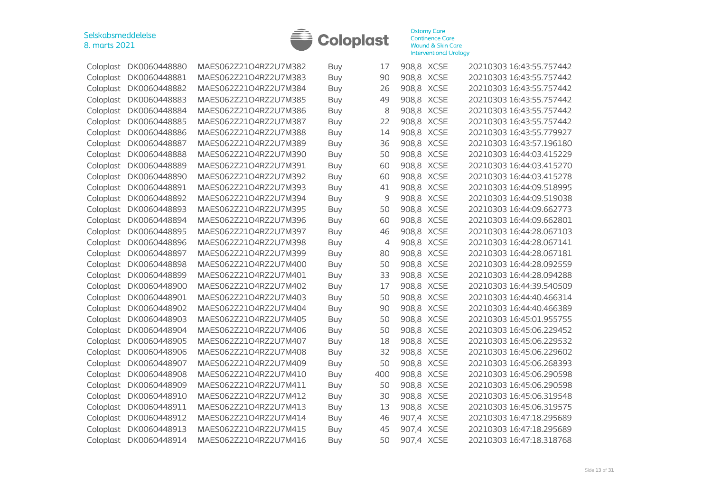

| Coloplast | DK0060448880 | MAES062Z21O4RZ2U7M382 | Buy        | 17  | 908,8 XCSE | 20210303 16:43:55.757442 |
|-----------|--------------|-----------------------|------------|-----|------------|--------------------------|
| Coloplast | DK0060448881 | MAES062Z21O4RZ2U7M383 | Buy        | 90  | 908,8 XCSE | 20210303 16:43:55.757442 |
| Coloplast | DK0060448882 | MAES062Z21O4RZ2U7M384 | <b>Buy</b> | 26  | 908,8 XCSE | 20210303 16:43:55.757442 |
| Coloplast | DK0060448883 | MAES062Z21O4RZ2U7M385 | Buy        | 49  | 908,8 XCSE | 20210303 16:43:55.757442 |
| Coloplast | DK0060448884 | MAES062Z21O4RZ2U7M386 | <b>Buy</b> | 8   | 908,8 XCSE | 20210303 16:43:55.757442 |
| Coloplast | DK0060448885 | MAES062Z21O4RZ2U7M387 | <b>Buy</b> | 22  | 908,8 XCSE | 20210303 16:43:55.757442 |
| Coloplast | DK0060448886 | MAES062Z21O4RZ2U7M388 | Buy        | 14  | 908,8 XCSE | 20210303 16:43:55.779927 |
| Coloplast | DK0060448887 | MAES062Z21O4RZ2U7M389 | <b>Buy</b> | 36  | 908,8 XCSE | 20210303 16:43:57.196180 |
| Coloplast | DK0060448888 | MAES062Z21O4RZ2U7M390 | Buy        | 50  | 908,8 XCSE | 20210303 16:44:03.415229 |
| Coloplast | DK0060448889 | MAES062Z21O4RZ2U7M391 | <b>Buy</b> | 60  | 908,8 XCSE | 20210303 16:44:03.415270 |
| Coloplast | DK0060448890 | MAES062Z21O4RZ2U7M392 | Buy        | 60  | 908,8 XCSE | 20210303 16:44:03.415278 |
| Coloplast | DK0060448891 | MAES062Z21O4RZ2U7M393 | <b>Buy</b> | 41  | 908,8 XCSE | 20210303 16:44:09.518995 |
| Coloplast | DK0060448892 | MAES062Z21O4RZ2U7M394 | <b>Buy</b> | 9   | 908,8 XCSE | 20210303 16:44:09.519038 |
| Coloplast | DK0060448893 | MAES062Z21O4RZ2U7M395 | Buy        | 50  | 908,8 XCSE | 20210303 16:44:09.662773 |
| Coloplast | DK0060448894 | MAES062Z21O4RZ2U7M396 | <b>Buy</b> | 60  | 908,8 XCSE | 20210303 16:44:09.662801 |
| Coloplast | DK0060448895 | MAES062Z21O4RZ2U7M397 | Buy        | 46  | 908,8 XCSE | 20210303 16:44:28.067103 |
| Coloplast | DK0060448896 | MAES062Z21O4RZ2U7M398 | <b>Buy</b> | 4   | 908,8 XCSE | 20210303 16:44:28.067141 |
| Coloplast | DK0060448897 | MAES062Z21O4RZ2U7M399 | Buy        | 80  | 908,8 XCSE | 20210303 16:44:28.067181 |
| Coloplast | DK0060448898 | MAES062Z21O4RZ2U7M400 | <b>Buy</b> | 50  | 908,8 XCSE | 20210303 16:44:28.092559 |
| Coloplast | DK0060448899 | MAES062Z21O4RZ2U7M401 | Buy        | 33  | 908,8 XCSE | 20210303 16:44:28.094288 |
| Coloplast | DK0060448900 | MAES062Z21O4RZ2U7M402 | Buy        | 17  | 908,8 XCSE | 20210303 16:44:39.540509 |
| Coloplast | DK0060448901 | MAES062Z21O4RZ2U7M403 | <b>Buy</b> | 50  | 908,8 XCSE | 20210303 16:44:40.466314 |
| Coloplast | DK0060448902 | MAES062Z21O4RZ2U7M404 | Buy        | 90  | 908,8 XCSE | 20210303 16:44:40.466389 |
| Coloplast | DK0060448903 | MAES062Z21O4RZ2U7M405 | Buy        | 50  | 908,8 XCSE | 20210303 16:45:01.955755 |
| Coloplast | DK0060448904 | MAES062Z21O4RZ2U7M406 | Buy        | 50  | 908,8 XCSE | 20210303 16:45:06.229452 |
| Coloplast | DK0060448905 | MAES062Z21O4RZ2U7M407 | <b>Buy</b> | 18  | 908,8 XCSE | 20210303 16:45:06.229532 |
| Coloplast | DK0060448906 | MAES062Z21O4RZ2U7M408 | <b>Buy</b> | 32  | 908,8 XCSE | 20210303 16:45:06.229602 |
| Coloplast | DK0060448907 | MAES062Z21O4RZ2U7M409 | <b>Buy</b> | 50  | 908,8 XCSE | 20210303 16:45:06.268393 |
| Coloplast | DK0060448908 | MAES062Z21O4RZ2U7M410 | <b>Buy</b> | 400 | 908,8 XCSE | 20210303 16:45:06.290598 |
| Coloplast | DK0060448909 | MAES062Z21O4RZ2U7M411 | <b>Buy</b> | 50  | 908,8 XCSE | 20210303 16:45:06.290598 |
| Coloplast | DK0060448910 | MAES062Z21O4RZ2U7M412 | <b>Buy</b> | 30  | 908,8 XCSE | 20210303 16:45:06.319548 |
| Coloplast | DK0060448911 | MAES062Z21O4RZ2U7M413 | Buy        | 13  | 908,8 XCSE | 20210303 16:45:06.319575 |
| Coloplast | DK0060448912 | MAES062Z21O4RZ2U7M414 | <b>Buy</b> | 46  | 907,4 XCSE | 20210303 16:47:18.295689 |
| Coloplast | DK0060448913 | MAES062Z21O4RZ2U7M415 | <b>Buy</b> | 45  | 907,4 XCSE | 20210303 16:47:18.295689 |
| Coloplast | DK0060448914 | MAES062Z21O4RZ2U7M416 | Buv        | 50  | 907,4 XCSE | 20210303 16:47:18.318768 |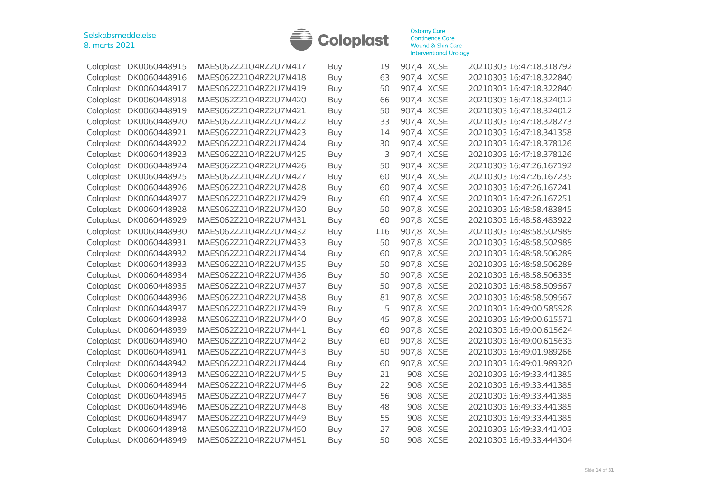

| Coloplast | DK0060448915 | MAES062Z21O4RZ2U7M417 | <b>Buy</b> | 19  | 907,4 XCSE |             | 20210303 16:47:18.318792 |
|-----------|--------------|-----------------------|------------|-----|------------|-------------|--------------------------|
| Coloplast | DK0060448916 | MAES062Z21O4RZ2U7M418 | Buy        | 63  | 907,4 XCSE |             | 20210303 16:47:18.322840 |
| Coloplast | DK0060448917 | MAES062Z21O4RZ2U7M419 | <b>Buy</b> | 50  | 907,4 XCSE |             | 20210303 16:47:18.322840 |
| Coloplast | DK0060448918 | MAES062Z21O4RZ2U7M420 | Buy        | 66  | 907,4 XCSE |             | 20210303 16:47:18.324012 |
| Coloplast | DK0060448919 | MAES062Z21O4RZ2U7M421 | Buy        | 50  | 907,4 XCSE |             | 20210303 16:47:18.324012 |
| Coloplast | DK0060448920 | MAES062Z21O4RZ2U7M422 | <b>Buy</b> | 33  | 907,4 XCSE |             | 20210303 16:47:18.328273 |
| Coloplast | DK0060448921 | MAES062Z21O4RZ2U7M423 | Buy        | 14  | 907,4 XCSE |             | 20210303 16:47:18.341358 |
| Coloplast | DK0060448922 | MAES062Z21O4RZ2U7M424 | <b>Buy</b> | 30  | 907,4 XCSE |             | 20210303 16:47:18.378126 |
| Coloplast | DK0060448923 | MAES062Z21O4RZ2U7M425 | Buy        | 3   | 907,4 XCSE |             | 20210303 16:47:18.378126 |
| Coloplast | DK0060448924 | MAES062Z21O4RZ2U7M426 | Buy        | 50  | 907,4 XCSE |             | 20210303 16:47:26.167192 |
| Coloplast | DK0060448925 | MAES062Z21O4RZ2U7M427 | Buy        | 60  | 907,4 XCSE |             | 20210303 16:47:26.167235 |
| Coloplast | DK0060448926 | MAES062Z21O4RZ2U7M428 | Buy        | 60  | 907,4 XCSE |             | 20210303 16:47:26.167241 |
| Coloplast | DK0060448927 | MAES062Z21O4RZ2U7M429 | <b>Buy</b> | 60  | 907,4 XCSE |             | 20210303 16:47:26.167251 |
| Coloplast | DK0060448928 | MAES062Z21O4RZ2U7M430 | <b>Buy</b> | 50  | 907,8 XCSE |             | 20210303 16:48:58.483845 |
| Coloplast | DK0060448929 | MAES062Z21O4RZ2U7M431 | <b>Buy</b> | 60  | 907,8 XCSE |             | 20210303 16:48:58.483922 |
| Coloplast | DK0060448930 | MAES062Z21O4RZ2U7M432 | <b>Buy</b> | 116 | 907,8 XCSE |             | 20210303 16:48:58.502989 |
| Coloplast | DK0060448931 | MAES062Z21O4RZ2U7M433 | Buy        | 50  | 907,8 XCSE |             | 20210303 16:48:58.502989 |
| Coloplast | DK0060448932 | MAES062Z21O4RZ2U7M434 | <b>Buy</b> | 60  | 907,8 XCSE |             | 20210303 16:48:58.506289 |
| Coloplast | DK0060448933 | MAES062Z21O4RZ2U7M435 | Buy        | 50  | 907,8 XCSE |             | 20210303 16:48:58.506289 |
| Coloplast | DK0060448934 | MAES062Z21O4RZ2U7M436 | Buy        | 50  | 907,8 XCSE |             | 20210303 16:48:58.506335 |
| Coloplast | DK0060448935 | MAES062Z21O4RZ2U7M437 | Buy        | 50  | 907,8 XCSE |             | 20210303 16:48:58.509567 |
| Coloplast | DK0060448936 | MAES062Z21O4RZ2U7M438 | Buy        | 81  | 907,8 XCSE |             | 20210303 16:48:58.509567 |
| Coloplast | DK0060448937 | MAES062Z21O4RZ2U7M439 | <b>Buy</b> | 5   | 907,8 XCSE |             | 20210303 16:49:00.585928 |
| Coloplast | DK0060448938 | MAES062Z21O4RZ2U7M440 | Buy        | 45  | 907,8 XCSE |             | 20210303 16:49:00.615571 |
| Coloplast | DK0060448939 | MAES062Z21O4RZ2U7M441 | Buy        | 60  | 907,8 XCSE |             | 20210303 16:49:00.615624 |
| Coloplast | DK0060448940 | MAES062Z21O4RZ2U7M442 | <b>Buy</b> | 60  | 907,8 XCSE |             | 20210303 16:49:00.615633 |
| Coloplast | DK0060448941 | MAES062Z21O4RZ2U7M443 | Buy        | 50  | 907,8 XCSE |             | 20210303 16:49:01.989266 |
| Coloplast | DK0060448942 | MAES062Z21O4RZ2U7M444 | <b>Buy</b> | 60  | 907,8 XCSE |             | 20210303 16:49:01.989320 |
| Coloplast | DK0060448943 | MAES062Z21O4RZ2U7M445 | <b>Buy</b> | 21  | 908 XCSE   |             | 20210303 16:49:33.441385 |
| Coloplast | DK0060448944 | MAES062Z21O4RZ2U7M446 | <b>Buy</b> | 22  | 908 XCSE   |             | 20210303 16:49:33.441385 |
| Coloplast | DK0060448945 | MAES062Z21O4RZ2U7M447 | <b>Buy</b> | 56  | 908 XCSE   |             | 20210303 16:49:33.441385 |
| Coloplast | DK0060448946 | MAES062Z21O4RZ2U7M448 | <b>Buy</b> | 48  | 908 XCSE   |             | 20210303 16:49:33.441385 |
| Coloplast | DK0060448947 | MAES062Z21O4RZ2U7M449 | <b>Buy</b> | 55  | 908 XCSE   |             | 20210303 16:49:33.441385 |
| Coloplast | DK0060448948 | MAES062Z21O4RZ2U7M450 | <b>Buy</b> | 27  | 908        | <b>XCSE</b> | 20210303 16:49:33.441403 |
| Coloplast | DK0060448949 | MAES062Z21O4RZ2U7M451 | Buy        | 50  | 908 XCSE   |             | 20210303 16:49:33.444304 |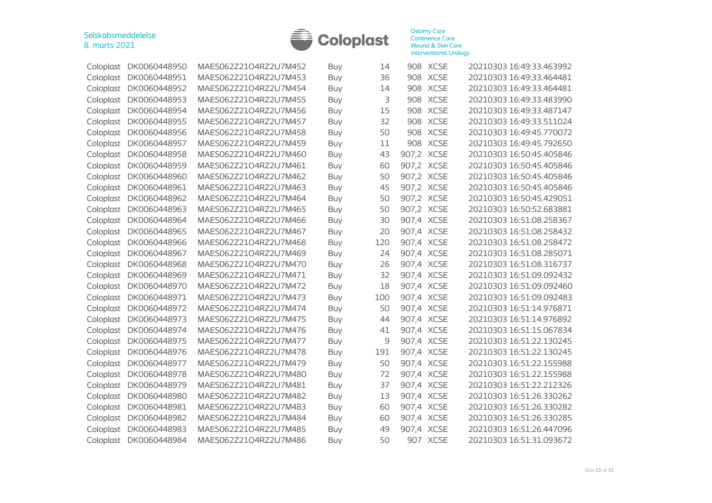

| Coloplast | DK0060448950 | MAES062Z21O4RZ2U7M452 | Buy        | 14  |            | 908 XCSE    | 20210303 16:49:33.463992 |
|-----------|--------------|-----------------------|------------|-----|------------|-------------|--------------------------|
| Coloplast | DK0060448951 | MAES062Z21O4RZ2U7M453 | Buy        | 36  |            | 908 XCSE    | 20210303 16:49:33.464481 |
| Coloplast | DK0060448952 | MAES062Z21O4RZ2U7M454 | <b>Buy</b> | 14  |            | 908 XCSE    | 20210303 16:49:33.464481 |
| Coloplast | DK0060448953 | MAES062Z21O4RZ2U7M455 | <b>Buy</b> | 3   |            | 908 XCSE    | 20210303 16:49:33.483990 |
| Coloplast | DK0060448954 | MAES062Z21O4RZ2U7M456 | Buy        | 15  | 908        | <b>XCSE</b> | 20210303 16:49:33.487147 |
| Coloplast | DK0060448955 | MAES062Z21O4RZ2U7M457 | <b>Buy</b> | 32  |            | 908 XCSE    | 20210303 16:49:33.511024 |
| Coloplast | DK0060448956 | MAES062Z21O4RZ2U7M458 | Buy        | 50  |            | 908 XCSE    | 20210303 16:49:45.770072 |
| Coloplast | DK0060448957 | MAES062Z21O4RZ2U7M459 | Buy        | 11  | 908        | <b>XCSE</b> | 20210303 16:49:45.792650 |
| Coloplast | DK0060448958 | MAES062Z21O4RZ2U7M460 | <b>Buy</b> | 43  | 907,2 XCSE |             | 20210303 16:50:45.405846 |
| Coloplast | DK0060448959 | MAES062Z21O4RZ2U7M461 | Buy        | 60  | 907,2 XCSE |             | 20210303 16:50:45.405846 |
| Coloplast | DK0060448960 | MAES062Z21O4RZ2U7M462 | Buy        | 50  | 907,2 XCSE |             | 20210303 16:50:45.405846 |
| Coloplast | DK0060448961 | MAES062Z21O4RZ2U7M463 | Buy        | 45  | 907,2 XCSE |             | 20210303 16:50:45.405846 |
| Coloplast | DK0060448962 | MAES062Z21O4RZ2U7M464 | Buy        | 50  | 907,2 XCSE |             | 20210303 16:50:45.429051 |
| Coloplast | DK0060448963 | MAES062Z21O4RZ2U7M465 | Buy        | 50  | 907,2 XCSE |             | 20210303 16:50:52.683881 |
| Coloplast | DK0060448964 | MAES062Z21O4RZ2U7M466 | <b>Buy</b> | 30  | 907,4 XCSE |             | 20210303 16:51:08.258367 |
| Coloplast | DK0060448965 | MAES062Z21O4RZ2U7M467 | <b>Buy</b> | 20  | 907,4 XCSE |             | 20210303 16:51:08.258432 |
| Coloplast | DK0060448966 | MAES062Z21O4RZ2U7M468 | Buy        | 120 | 907,4 XCSE |             | 20210303 16:51:08.258472 |
| Coloplast | DK0060448967 | MAES062Z21O4RZ2U7M469 | Buy        | 24  | 907,4 XCSE |             | 20210303 16:51:08.285071 |
| Coloplast | DK0060448968 | MAES062Z21O4RZ2U7M470 | Buy        | 26  | 907,4 XCSE |             | 20210303 16:51:08.316737 |
| Coloplast | DK0060448969 | MAES062Z21O4RZ2U7M471 | <b>Buy</b> | 32  | 907,4 XCSE |             | 20210303 16:51:09.092432 |
| Coloplast | DK0060448970 | MAES062Z21O4RZ2U7M472 | <b>Buy</b> | 18  | 907,4 XCSE |             | 20210303 16:51:09.092460 |
| Coloplast | DK0060448971 | MAES062Z21O4RZ2U7M473 | Buy        | 100 | 907,4 XCSE |             | 20210303 16:51:09.092483 |
| Coloplast | DK0060448972 | MAES062Z21O4RZ2U7M474 | Buy        | 50  | 907,4 XCSE |             | 20210303 16:51:14.976871 |
| Coloplast | DK0060448973 | MAES062Z21O4RZ2U7M475 | <b>Buy</b> | 44  | 907,4 XCSE |             | 20210303 16:51:14.976892 |
| Coloplast | DK0060448974 | MAES062Z21O4RZ2U7M476 | Buy        | 41  | 907,4 XCSE |             | 20210303 16:51:15.067834 |
| Coloplast | DK0060448975 | MAES062Z21O4RZ2U7M477 | Buy        | 9   | 907,4 XCSE |             | 20210303 16:51:22.130245 |
| Coloplast | DK0060448976 | MAES062Z21O4RZ2U7M478 | Buy        | 191 | 907,4 XCSE |             | 20210303 16:51:22.130245 |
| Coloplast | DK0060448977 | MAES062Z21O4RZ2U7M479 | <b>Buy</b> | 50  | 907,4 XCSE |             | 20210303 16:51:22.155988 |
| Coloplast | DK0060448978 | MAES062Z21O4RZ2U7M480 | Buy        | 72  | 907,4 XCSE |             | 20210303 16:51:22.155988 |
| Coloplast | DK0060448979 | MAES062Z21O4RZ2U7M481 | Buy        | 37  | 907,4 XCSE |             | 20210303 16:51:22.212326 |
| Coloplast | DK0060448980 | MAES062Z21O4RZ2U7M482 | <b>Buy</b> | 13  | 907,4 XCSE |             | 20210303 16:51:26.330262 |
| Coloplast | DK0060448981 | MAES062Z21O4RZ2U7M483 | <b>Buy</b> | 60  | 907,4 XCSE |             | 20210303 16:51:26.330282 |
| Coloplast | DK0060448982 | MAES062Z21O4RZ2U7M484 | <b>Buy</b> | 60  | 907,4 XCSE |             | 20210303 16:51:26.330285 |
| Coloplast | DK0060448983 | MAES062Z21O4RZ2U7M485 | Buy        | 49  | 907,4 XCSE |             | 20210303 16:51:26.447096 |
| Coloplast | DK0060448984 | MAES062Z21O4RZ2U7M486 | Buy        | 50  |            | 907 XCSE    | 20210303 16:51:31.093672 |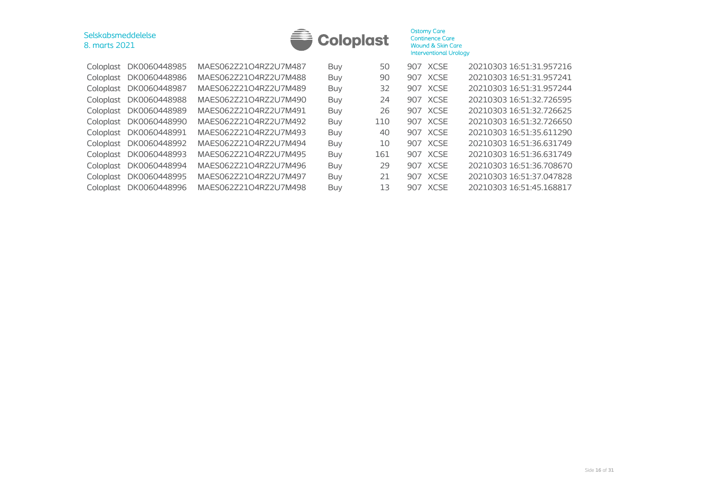

| DK0060448985              | MAES062Z21O4RZ2U7M487 | Buy        | 50  |  | 20210303 16:51:31.957216                                                                                                                     |
|---------------------------|-----------------------|------------|-----|--|----------------------------------------------------------------------------------------------------------------------------------------------|
| DK0060448986<br>Coloplast | MAES062Z21O4RZ2U7M488 | <b>Buy</b> | 90  |  | 20210303 16:51:31.957241                                                                                                                     |
| DK0060448987<br>Coloplast | MAES062Z21O4RZ2U7M489 | <b>Buy</b> | 32  |  | 20210303 16:51:31.957244                                                                                                                     |
| DK0060448988<br>Coloplast | MAES062Z21O4RZ2U7M490 | Buy        | 24  |  | 20210303 16:51:32.726595                                                                                                                     |
| DK0060448989<br>Coloplast | MAES062Z21O4RZ2U7M491 | Buy        | 26  |  | 20210303 16:51:32.726625                                                                                                                     |
| DK0060448990<br>Coloplast | MAES062Z21O4RZ2U7M492 | Buy        | 110 |  | 20210303 16:51:32.726650                                                                                                                     |
| DK0060448991<br>Coloplast | MAES062Z21O4RZ2U7M493 | <b>Buy</b> | 40  |  | 20210303 16:51:35.611290                                                                                                                     |
| DK0060448992<br>Coloplast | MAES062Z21O4RZ2U7M494 | <b>Buy</b> | 10  |  | 20210303 16:51:36.631749                                                                                                                     |
| DK0060448993<br>Coloplast | MAES062Z21O4RZ2U7M495 | Buy        | 161 |  | 20210303 16:51:36.631749                                                                                                                     |
| DK0060448994<br>Coloplast | MAES062Z21O4RZ2U7M496 | Buy        | 29  |  | 20210303 16:51:36.708670                                                                                                                     |
| DK0060448995<br>Coloplast | MAES062Z21O4RZ2U7M497 | <b>Buy</b> | 21  |  | 20210303 16:51:37.047828                                                                                                                     |
| DK0060448996              | MAES062Z21O4RZ2U7M498 | Buy        | 13  |  | 20210303 16:51:45.168817                                                                                                                     |
|                           |                       |            |     |  | 907 XCSE<br>907 XCSE<br>907 XCSE<br>907 XCSE<br>907 XCSE<br>907 XCSE<br>907 XCSE<br>907 XCSE<br>907 XCSE<br>907 XCSE<br>907 XCSE<br>907 XCSE |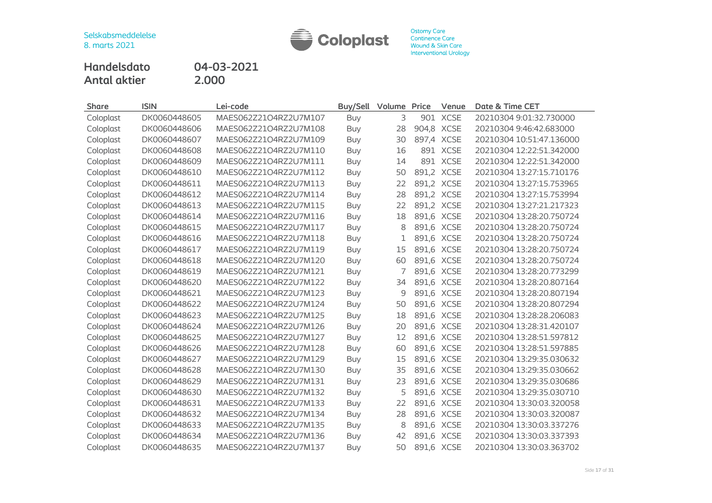

**Handelsdato 04-03-2021 Antal aktier 2.000**

| <b>Share</b> | <b>ISIN</b>  | Lei-code              | <b>Buy/Sell</b> | Volume | Price      | Venue      | Date & Time CET          |
|--------------|--------------|-----------------------|-----------------|--------|------------|------------|--------------------------|
| Coloplast    | DK0060448605 | MAES062Z21O4RZ2U7M107 | Buy             | 3      |            | 901 XCSE   | 20210304 9:01:32.730000  |
| Coloplast    | DK0060448606 | MAES062Z21O4RZ2U7M108 | Buy             | 28     | 904,8 XCSE |            | 20210304 9:46:42.683000  |
| Coloplast    | DK0060448607 | MAES062Z21O4RZ2U7M109 | <b>Buy</b>      | 30     | 897,4 XCSE |            | 20210304 10:51:47.136000 |
| Coloplast    | DK0060448608 | MAES062Z21O4RZ2U7M110 | <b>Buy</b>      | 16     |            | 891 XCSE   | 20210304 12:22:51.342000 |
| Coloplast    | DK0060448609 | MAES062Z21O4RZ2U7M111 | Buy             | 14     |            | 891 XCSE   | 20210304 12:22:51.342000 |
| Coloplast    | DK0060448610 | MAES062Z21O4RZ2U7M112 | <b>Buy</b>      | 50     | 891,2 XCSE |            | 20210304 13:27:15.710176 |
| Coloplast    | DK0060448611 | MAES062Z21O4RZ2U7M113 | Buy             | 22     |            | 891,2 XCSE | 20210304 13:27:15.753965 |
| Coloplast    | DK0060448612 | MAES062Z21O4RZ2U7M114 | <b>Buy</b>      | 28     | 891,2 XCSE |            | 20210304 13:27:15.753994 |
| Coloplast    | DK0060448613 | MAES062Z21O4RZ2U7M115 | Buy             | 22     | 891,2 XCSE |            | 20210304 13:27:21.217323 |
| Coloplast    | DK0060448614 | MAES062Z21O4RZ2U7M116 | Buy             | 18     |            | 891,6 XCSE | 20210304 13:28:20.750724 |
| Coloplast    | DK0060448615 | MAES062Z21O4RZ2U7M117 | Buy             | 8      | 891,6 XCSE |            | 20210304 13:28:20.750724 |
| Coloplast    | DK0060448616 | MAES062Z21O4RZ2U7M118 | Buy             |        |            | 891,6 XCSE | 20210304 13:28:20.750724 |
| Coloplast    | DK0060448617 | MAES062Z21O4RZ2U7M119 | Buy             | 15     |            | 891,6 XCSE | 20210304 13:28:20.750724 |
| Coloplast    | DK0060448618 | MAES062Z21O4RZ2U7M120 | <b>Buy</b>      | 60     | 891,6 XCSE |            | 20210304 13:28:20.750724 |
| Coloplast    | DK0060448619 | MAES062Z21O4RZ2U7M121 | Buy             | 7      |            | 891,6 XCSE | 20210304 13:28:20.773299 |
| Coloplast    | DK0060448620 | MAES062Z21O4RZ2U7M122 | Buy             | 34     |            | 891,6 XCSE | 20210304 13:28:20.807164 |
| Coloplast    | DK0060448621 | MAES062Z21O4RZ2U7M123 | <b>Buy</b>      | 9      | 891,6 XCSE |            | 20210304 13:28:20.807194 |
| Coloplast    | DK0060448622 | MAES062Z21O4RZ2U7M124 | Buy             | 50     | 891,6 XCSE |            | 20210304 13:28:20.807294 |
| Coloplast    | DK0060448623 | MAES062Z21O4RZ2U7M125 | Buy             | 18     | 891,6 XCSE |            | 20210304 13:28:28.206083 |
| Coloplast    | DK0060448624 | MAES062Z21O4RZ2U7M126 | <b>Buy</b>      | 20     | 891,6 XCSE |            | 20210304 13:28:31.420107 |
| Coloplast    | DK0060448625 | MAES062Z21O4RZ2U7M127 | Buy             | 12     | 891,6 XCSE |            | 20210304 13:28:51.597812 |
| Coloplast    | DK0060448626 | MAES062Z21O4RZ2U7M128 | Buy             | 60     | 891,6 XCSE |            | 20210304 13:28:51.597885 |
| Coloplast    | DK0060448627 | MAES062Z21O4RZ2U7M129 | Buy             | 15     | 891,6 XCSE |            | 20210304 13:29:35.030632 |
| Coloplast    | DK0060448628 | MAES062Z21O4RZ2U7M130 | Buy             | 35     | 891,6 XCSE |            | 20210304 13:29:35.030662 |
| Coloplast    | DK0060448629 | MAES062Z21O4RZ2U7M131 | Buy             | 23     |            | 891,6 XCSE | 20210304 13:29:35.030686 |
| Coloplast    | DK0060448630 | MAES062Z21O4RZ2U7M132 | <b>Buy</b>      | 5      | 891,6 XCSE |            | 20210304 13:29:35.030710 |
| Coloplast    | DK0060448631 | MAES062Z21O4RZ2U7M133 | Buy             | 22     |            | 891,6 XCSE | 20210304 13:30:03.320058 |
| Coloplast    | DK0060448632 | MAES062Z21O4RZ2U7M134 | <b>Buy</b>      | 28     | 891,6 XCSE |            | 20210304 13:30:03.320087 |
| Coloplast    | DK0060448633 | MAES062Z21O4RZ2U7M135 | <b>Buy</b>      | 8      |            | 891,6 XCSE | 20210304 13:30:03.337276 |
| Coloplast    | DK0060448634 | MAES062Z21O4RZ2U7M136 | <b>Buy</b>      | 42     |            | 891,6 XCSE | 20210304 13:30:03.337393 |
| Coloplast    | DK0060448635 | MAES062Z21O4RZ2U7M137 | Buy             | 50     | 891,6 XCSE |            | 20210304 13:30:03.363702 |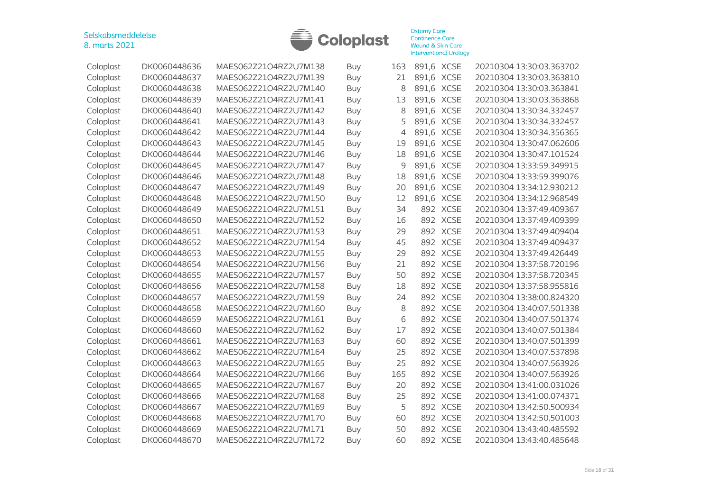

| Coloplast | DK0060448636 | MAES062Z21O4RZ2U7M138 | Buy        | 163            | 891.6 XCSE |             | 20210304 13:30:03.363702 |
|-----------|--------------|-----------------------|------------|----------------|------------|-------------|--------------------------|
| Coloplast | DK0060448637 | MAES062Z21O4RZ2U7M139 | <b>Buy</b> | 21             | 891,6 XCSE |             | 20210304 13:30:03.363810 |
| Coloplast | DK0060448638 | MAES062Z21O4RZ2U7M140 | Buy        | 8              | 891,6      | <b>XCSE</b> | 20210304 13:30:03.363841 |
| Coloplast | DK0060448639 | MAES062Z21O4RZ2U7M141 | <b>Buy</b> | 13             | 891,6      | <b>XCSE</b> | 20210304 13:30:03.363868 |
| Coloplast | DK0060448640 | MAES062Z21O4RZ2U7M142 | Buy        | 8              | 891,6      | <b>XCSE</b> | 20210304 13:30:34.332457 |
| Coloplast | DK0060448641 | MAES062Z21O4RZ2U7M143 | <b>Buy</b> | 5              | 891,6      | <b>XCSE</b> | 20210304 13:30:34.332457 |
| Coloplast | DK0060448642 | MAES062Z21O4RZ2U7M144 | <b>Buy</b> | $\overline{4}$ | 891,6 XCSE |             | 20210304 13:30:34.356365 |
| Coloplast | DK0060448643 | MAES062Z21O4RZ2U7M145 | Buy        | 19             | 891,6 XCSE |             | 20210304 13:30:47.062606 |
| Coloplast | DK0060448644 | MAES062Z21O4RZ2U7M146 | <b>Buy</b> | 18             | 891,6 XCSE |             | 20210304 13:30:47.101524 |
| Coloplast | DK0060448645 | MAES062Z21O4RZ2U7M147 | <b>Buy</b> | 9              | 891,6      | <b>XCSE</b> | 20210304 13:33:59.349915 |
| Coloplast | DK0060448646 | MAES062Z21O4RZ2U7M148 | <b>Buy</b> | 18             | 891,6      | <b>XCSE</b> | 20210304 13:33:59.399076 |
| Coloplast | DK0060448647 | MAES062Z21O4RZ2U7M149 | Buy        | 20             | 891,6      | <b>XCSE</b> | 20210304 13:34:12.930212 |
| Coloplast | DK0060448648 | MAES062Z21O4RZ2U7M150 | <b>Buy</b> | 12             | 891,6      | <b>XCSE</b> | 20210304 13:34:12.968549 |
| Coloplast | DK0060448649 | MAES062Z21O4RZ2U7M151 | <b>Buy</b> | 34             |            | 892 XCSE    | 20210304 13:37:49.409367 |
| Coloplast | DK0060448650 | MAES062Z21O4RZ2U7M152 | <b>Buy</b> | 16             |            | 892 XCSE    | 20210304 13:37:49.409399 |
| Coloplast | DK0060448651 | MAES062Z21O4RZ2U7M153 | <b>Buy</b> | 29             |            | 892 XCSE    | 20210304 13:37:49.409404 |
| Coloplast | DK0060448652 | MAES062Z21O4RZ2U7M154 | <b>Buy</b> | 45             |            | 892 XCSE    | 20210304 13:37:49.409437 |
| Coloplast | DK0060448653 | MAES062Z21O4RZ2U7M155 | <b>Buy</b> | 29             | 892        | <b>XCSE</b> | 20210304 13:37:49.426449 |
| Coloplast | DK0060448654 | MAES062Z21O4RZ2U7M156 | Buy        | 21             | 892        | <b>XCSE</b> | 20210304 13:37:58.720196 |
| Coloplast | DK0060448655 | MAES062Z21O4RZ2U7M157 | Buy        | 50             | 892        | <b>XCSE</b> | 20210304 13:37:58.720345 |
| Coloplast | DK0060448656 | MAES062Z21O4RZ2U7M158 | Buy        | 18             | 892        | <b>XCSE</b> | 20210304 13:37:58.955816 |
| Coloplast | DK0060448657 | MAES062Z21O4RZ2U7M159 | <b>Buy</b> | 24             | 892        | <b>XCSE</b> | 20210304 13:38:00.824320 |
| Coloplast | DK0060448658 | MAES062Z21O4RZ2U7M160 | <b>Buy</b> | 8              | 892        | <b>XCSE</b> | 20210304 13:40:07.501338 |
| Coloplast | DK0060448659 | MAES062Z21O4RZ2U7M161 | <b>Buy</b> | 6              | 892        | <b>XCSE</b> | 20210304 13:40:07.501374 |
| Coloplast | DK0060448660 | MAES062Z21O4RZ2U7M162 | <b>Buy</b> | 17             | 892        | <b>XCSE</b> | 20210304 13:40:07.501384 |
| Coloplast | DK0060448661 | MAES062Z21O4RZ2U7M163 | <b>Buy</b> | 60             | 892        | <b>XCSE</b> | 20210304 13:40:07.501399 |
| Coloplast | DK0060448662 | MAES062Z21O4RZ2U7M164 | <b>Buy</b> | 25             | 892        | <b>XCSE</b> | 20210304 13:40:07.537898 |
| Coloplast | DK0060448663 | MAES062Z21O4RZ2U7M165 | <b>Buy</b> | 25             |            | 892 XCSE    | 20210304 13:40:07.563926 |
| Coloplast | DK0060448664 | MAES062Z21O4RZ2U7M166 | Buy        | 165            | 892        | <b>XCSE</b> | 20210304 13:40:07.563926 |
| Coloplast | DK0060448665 | MAES062Z21O4RZ2U7M167 | <b>Buy</b> | 20             |            | 892 XCSE    | 20210304 13:41:00.031026 |
| Coloplast | DK0060448666 | MAES062Z21O4RZ2U7M168 | Buy        | 25             |            | 892 XCSE    | 20210304 13:41:00.074371 |
| Coloplast | DK0060448667 | MAES062Z21O4RZ2U7M169 | <b>Buy</b> | 5              |            | 892 XCSE    | 20210304 13:42:50.500934 |
| Coloplast | DK0060448668 | MAES062Z21O4RZ2U7M170 | <b>Buy</b> | 60             | 892        | <b>XCSE</b> | 20210304 13:42:50.501003 |
| Coloplast | DK0060448669 | MAES062Z21O4RZ2U7M171 | <b>Buy</b> | 50             | 892        | <b>XCSE</b> | 20210304 13:43:40.485592 |
| Coloplast | DK0060448670 | MAES062Z21O4RZ2U7M172 | Buy        | 60             |            | 892 XCSE    | 20210304 13:43:40.485648 |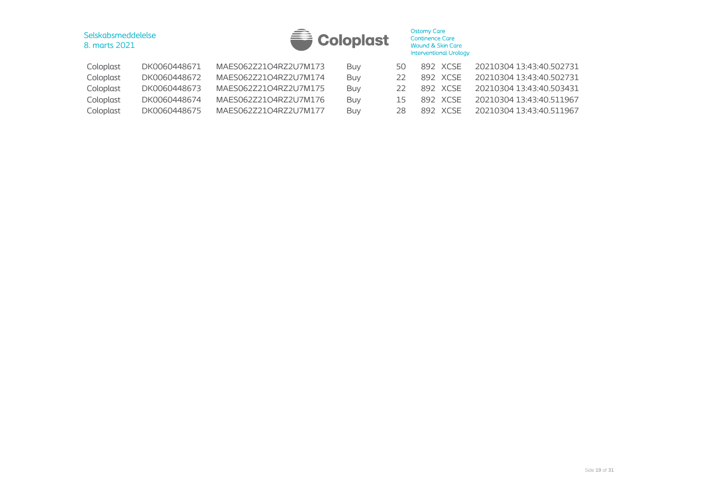

| Coloplast | DK0060448671 | MAES062Z21O4RZ2U7M173 | Buv        | 50.                      | 892 XCSE | 20210304 13:43:40.502731 |
|-----------|--------------|-----------------------|------------|--------------------------|----------|--------------------------|
| Coloplast | DK0060448672 | MAES062Z21O4RZ2U7M174 | Buv        |                          | 892 XCSE | 20210304 13:43:40.502731 |
| Coloplast | DK0060448673 | MAES062Z21O4RZ2U7M175 | Buv        |                          | 892 XCSE | 20210304 13:43:40.503431 |
| Coloplast | DK0060448674 | MAES062Z21O4RZ2U7M176 | Buv        | $\overline{\phantom{a}}$ | 892 XCSE | 20210304 13:43:40.511967 |
| Coloplast | DK0060448675 | MAES062Z21O4RZ2U7M177 | <b>Buv</b> | 28                       | 892 XCSE | 20210304 13:43:40.511967 |
|           |              |                       |            |                          |          |                          |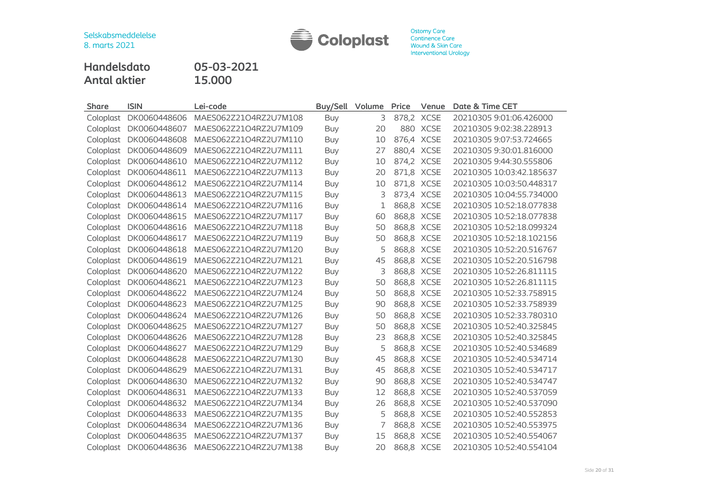

Ostomy Care<br>Continence Care<br>Wound & Skin Care Interventional Urology

**Handelsdato 05-03-2021 Antal aktier 15.000**

| <b>Share</b> | <b>ISIN</b>  | Lei-code              | <b>Buy/Sell</b> | Volume | Price      | Venue      | Date & Time CET          |
|--------------|--------------|-----------------------|-----------------|--------|------------|------------|--------------------------|
| Coloplast    | DK0060448606 | MAES062Z21O4RZ2U7M108 | Buy             | 3      | 878,2 XCSE |            | 20210305 9:01:06.426000  |
| Coloplast    | DK0060448607 | MAES062Z21O4RZ2U7M109 | Buy             | 20     |            | 880 XCSE   | 20210305 9:02:38.228913  |
| Coloplast    | DK0060448608 | MAES062Z21O4RZ2U7M110 | <b>Buy</b>      | 10     |            | 876,4 XCSE | 20210305 9:07:53.724665  |
| Coloplast    | DK0060448609 | MAES062Z21O4RZ2U7M111 | <b>Buy</b>      | 27     |            | 880,4 XCSE | 20210305 9:30:01.816000  |
| Coloplast    | DK0060448610 | MAES062Z21O4RZ2U7M112 | Buy             | 10     | 874,2 XCSE |            | 20210305 9:44:30.555806  |
| Coloplast    | DK0060448611 | MAES062Z21O4RZ2U7M113 | <b>Buy</b>      | 20     | 871,8 XCSE |            | 20210305 10:03:42.185637 |
| Coloplast    | DK0060448612 | MAES062Z21O4RZ2U7M114 | Buy             | 10     |            | 871,8 XCSE | 20210305 10:03:50.448317 |
| Coloplast    | DK0060448613 | MAES062Z21O4RZ2U7M115 | Buy             | 3      |            | 873,4 XCSE | 20210305 10:04:55.734000 |
| Coloplast    | DK0060448614 | MAES062Z21O4RZ2U7M116 | Buy             | 1      |            | 868,8 XCSE | 20210305 10:52:18.077838 |
| Coloplast    | DK0060448615 | MAES062Z21O4RZ2U7M117 | <b>Buy</b>      | 60     |            | 868,8 XCSE | 20210305 10:52:18.077838 |
| Coloplast    | DK0060448616 | MAES062Z21O4RZ2U7M118 | <b>Buy</b>      | 50     | 868,8 XCSE |            | 20210305 10:52:18.099324 |
| Coloplast    | DK0060448617 | MAES062Z21O4RZ2U7M119 | <b>Buy</b>      | 50     | 868,8 XCSE |            | 20210305 10:52:18.102156 |
| Coloplast    | DK0060448618 | MAES062Z21O4RZ2U7M120 | <b>Buy</b>      | 5      |            | 868,8 XCSE | 20210305 10:52:20.516767 |
| Coloplast    | DK0060448619 | MAES062Z21O4RZ2U7M121 | Buy             | 45     |            | 868,8 XCSE | 20210305 10:52:20.516798 |
| Coloplast    | DK0060448620 | MAES062Z21O4RZ2U7M122 | Buy             | 3      |            | 868,8 XCSE | 20210305 10:52:26.811115 |
| Coloplast    | DK0060448621 | MAES062Z21O4RZ2U7M123 | <b>Buy</b>      | 50     |            | 868,8 XCSE | 20210305 10:52:26.811115 |
| Coloplast    | DK0060448622 | MAES062Z21O4RZ2U7M124 | <b>Buy</b>      | 50     | 868,8 XCSE |            | 20210305 10:52:33.758915 |
| Coloplast    | DK0060448623 | MAES062Z21O4RZ2U7M125 | Buy             | 90     |            | 868,8 XCSE | 20210305 10:52:33.758939 |
| Coloplast    | DK0060448624 | MAES062Z21O4RZ2U7M126 | <b>Buy</b>      | 50     | 868,8 XCSE |            | 20210305 10:52:33.780310 |
| Coloplast    | DK0060448625 | MAES062Z21O4RZ2U7M127 | Buy             | 50     |            | 868,8 XCSE | 20210305 10:52:40.325845 |
| Coloplast    | DK0060448626 | MAES062Z21O4RZ2U7M128 | Buy             | 23     |            | 868,8 XCSE | 20210305 10:52:40.325845 |
| Coloplast    | DK0060448627 | MAES062Z21O4RZ2U7M129 | Buy             | 5      |            | 868,8 XCSE | 20210305 10:52:40.534689 |
| Coloplast    | DK0060448628 | MAES062Z21O4RZ2U7M130 | <b>Buy</b>      | 45     |            | 868,8 XCSE | 20210305 10:52:40.534714 |
| Coloplast    | DK0060448629 | MAES062Z21O4RZ2U7M131 | Buy             | 45     |            | 868,8 XCSE | 20210305 10:52:40.534717 |
| Coloplast    | DK0060448630 | MAES062Z21O4RZ2U7M132 | Buy             | 90     |            | 868,8 XCSE | 20210305 10:52:40.534747 |
| Coloplast    | DK0060448631 | MAES062Z21O4RZ2U7M133 | Buy             | 12     |            | 868,8 XCSE | 20210305 10:52:40.537059 |
| Coloplast    | DK0060448632 | MAES062Z21O4RZ2U7M134 | <b>Buy</b>      | 26     |            | 868,8 XCSE | 20210305 10:52:40.537090 |
| Coloplast    | DK0060448633 | MAES062Z21O4RZ2U7M135 | Buy             | 5      |            | 868,8 XCSE | 20210305 10:52:40.552853 |
| Coloplast    | DK0060448634 | MAES062Z21O4RZ2U7M136 | Buy             | 7      |            | 868,8 XCSE | 20210305 10:52:40.553975 |
| Coloplast    | DK0060448635 | MAES062Z21O4RZ2U7M137 | Buy             | 15     |            | 868,8 XCSE | 20210305 10:52:40.554067 |
| Coloplast    | DK0060448636 | MAES062Z21O4RZ2U7M138 | Buy             | 20     | 868,8 XCSE |            | 20210305 10:52:40.554104 |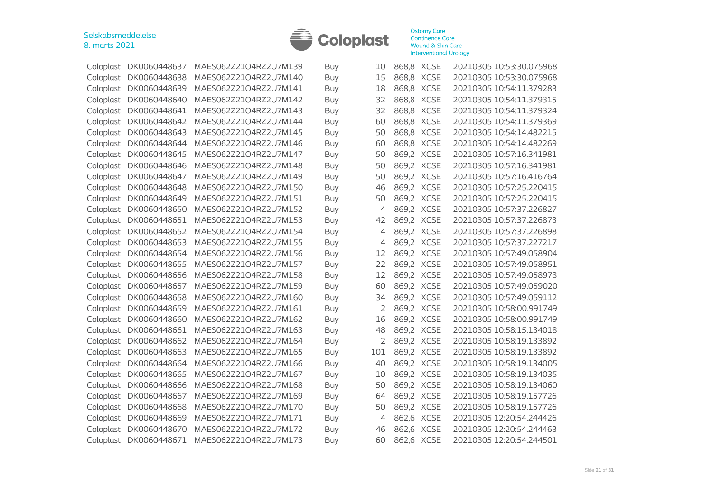

| Coloplast | DK0060448637 | MAES062Z21O4RZ2U7M139 | Buy        | 10  | 868,8 XCSE | 20210305 10:53:30.075968 |
|-----------|--------------|-----------------------|------------|-----|------------|--------------------------|
| Coloplast | DK0060448638 | MAES062Z21O4RZ2U7M140 | <b>Buy</b> | 15  | 868,8 XCSE | 20210305 10:53:30.075968 |
| Coloplast | DK0060448639 | MAES062Z21O4RZ2U7M141 | Buy        | 18  | 868,8 XCSE | 20210305 10:54:11.379283 |
| Coloplast | DK0060448640 | MAES062Z21O4RZ2U7M142 | Buy        | 32  | 868,8 XCSE | 20210305 10:54:11.379315 |
| Coloplast | DK0060448641 | MAES062Z21O4RZ2U7M143 | Buy        | 32  | 868,8 XCSE | 20210305 10:54:11.379324 |
| Coloplast | DK0060448642 | MAES062Z21O4RZ2U7M144 | <b>Buy</b> | 60  | 868,8 XCSE | 20210305 10:54:11.379369 |
| Coloplast | DK0060448643 | MAES062Z21O4RZ2U7M145 | Buy        | 50  | 868,8 XCSE | 20210305 10:54:14.482215 |
| Coloplast | DK0060448644 | MAES062Z21O4RZ2U7M146 | Buy        | 60  | 868,8 XCSE | 20210305 10:54:14.482269 |
| Coloplast | DK0060448645 | MAES062Z21O4RZ2U7M147 | Buy        | 50  | 869,2 XCSE | 20210305 10:57:16.341981 |
| Coloplast | DK0060448646 | MAES062Z21O4RZ2U7M148 | <b>Buy</b> | 50  | 869,2 XCSE | 20210305 10:57:16.341981 |
| Coloplast | DK0060448647 | MAES062Z21O4RZ2U7M149 | Buy        | 50  | 869,2 XCSE | 20210305 10:57:16.416764 |
| Coloplast | DK0060448648 | MAES062Z21O4RZ2U7M150 | Buy        | 46  | 869,2 XCSE | 20210305 10:57:25.220415 |
| Coloplast | DK0060448649 | MAES062Z21O4RZ2U7M151 | Buy        | 50  | 869,2 XCSE | 20210305 10:57:25.220415 |
| Coloplast | DK0060448650 | MAES062Z21O4RZ2U7M152 | <b>Buy</b> | 4   | 869,2 XCSE | 20210305 10:57:37.226827 |
| Coloplast | DK0060448651 | MAES062Z21O4RZ2U7M153 | Buy        | 42  | 869,2 XCSE | 20210305 10:57:37.226873 |
| Coloplast | DK0060448652 | MAES062Z21O4RZ2U7M154 | <b>Buy</b> | 4   | 869,2 XCSE | 20210305 10:57:37.226898 |
| Coloplast | DK0060448653 | MAES062Z21O4RZ2U7M155 | <b>Buy</b> | 4   | 869,2 XCSE | 20210305 10:57:37.227217 |
| Coloplast | DK0060448654 | MAES062Z21O4RZ2U7M156 | Buy        | 12  | 869,2 XCSE | 20210305 10:57:49.058904 |
| Coloplast | DK0060448655 | MAES062Z21O4RZ2U7M157 | Buy        | 22  | 869,2 XCSE | 20210305 10:57:49.058951 |
| Coloplast | DK0060448656 | MAES062Z21O4RZ2U7M158 | Buy        | 12  | 869,2 XCSE | 20210305 10:57:49.058973 |
| Coloplast | DK0060448657 | MAES062Z21O4RZ2U7M159 | <b>Buy</b> | 60  | 869,2 XCSE | 20210305 10:57:49.059020 |
| Coloplast | DK0060448658 | MAES062Z21O4RZ2U7M160 | Buy        | 34  | 869,2 XCSE | 20210305 10:57:49.059112 |
| Coloplast | DK0060448659 | MAES062Z21O4RZ2U7M161 | Buy        | 2   | 869,2 XCSE | 20210305 10:58:00.991749 |
| Coloplast | DK0060448660 | MAES062Z21O4RZ2U7M162 | Buy        | 16  | 869,2 XCSE | 20210305 10:58:00.991749 |
| Coloplast | DK0060448661 | MAES062Z21O4RZ2U7M163 | <b>Buy</b> | 48  | 869,2 XCSE | 20210305 10:58:15.134018 |
| Coloplast | DK0060448662 | MAES062Z21O4RZ2U7M164 | Buy        | 2   | 869,2 XCSE | 20210305 10:58:19.133892 |
| Coloplast | DK0060448663 | MAES062Z21O4RZ2U7M165 | Buy        | 101 | 869,2 XCSE | 20210305 10:58:19.133892 |
| Coloplast | DK0060448664 | MAES062Z21O4RZ2U7M166 | <b>Buy</b> | 40  | 869,2 XCSE | 20210305 10:58:19.134005 |
| Coloplast | DK0060448665 | MAES062Z21O4RZ2U7M167 | Buy        | 10  | 869,2 XCSE | 20210305 10:58:19.134035 |
| Coloplast | DK0060448666 | MAES062Z21O4RZ2U7M168 | Buy        | 50  | 869,2 XCSE | 20210305 10:58:19.134060 |
| Coloplast | DK0060448667 | MAES062Z21O4RZ2U7M169 | Buy        | 64  | 869,2 XCSE | 20210305 10:58:19.157726 |
| Coloplast | DK0060448668 | MAES062Z21O4RZ2U7M170 | Buy        | 50  | 869,2 XCSE | 20210305 10:58:19.157726 |
| Coloplast | DK0060448669 | MAES062Z21O4RZ2U7M171 | <b>Buy</b> | 4   | 862,6 XCSE | 20210305 12:20:54.244426 |
| Coloplast | DK0060448670 | MAES062Z21O4RZ2U7M172 | <b>Buy</b> | 46  | 862,6 XCSE | 20210305 12:20:54.244463 |
| Coloplast | DK0060448671 | MAES062Z21O4RZ2U7M173 | Buy        | 60  | 862,6 XCSE | 20210305 12:20:54.244501 |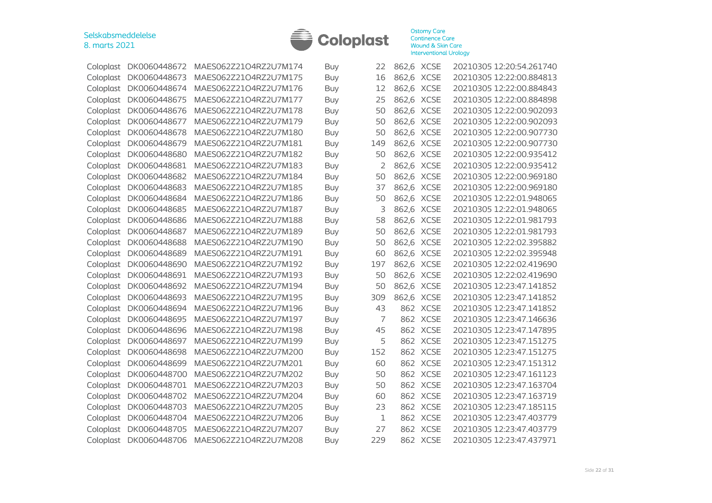

| Coloplast | DK0060448672 | MAES062Z21O4RZ2U7M174 | <b>Buy</b> | 22  | 862,6 XCSE |             | 20210305 12:20:54.261740 |
|-----------|--------------|-----------------------|------------|-----|------------|-------------|--------------------------|
| Coloplast | DK0060448673 | MAES062Z21O4RZ2U7M175 | <b>Buy</b> | 16  | 862,6 XCSE |             | 20210305 12:22:00.884813 |
| Coloplast | DK0060448674 | MAES062Z21O4RZ2U7M176 | <b>Buy</b> | 12  | 862,6 XCSE |             | 20210305 12:22:00.884843 |
| Coloplast | DK0060448675 | MAES062Z21O4RZ2U7M177 | Buy        | 25  | 862,6 XCSE |             | 20210305 12:22:00.884898 |
| Coloplast | DK0060448676 | MAES062Z21O4RZ2U7M178 | Buy        | 50  |            | 862,6 XCSE  | 20210305 12:22:00.902093 |
| Coloplast | DK0060448677 | MAES062Z21O4RZ2U7M179 | <b>Buy</b> | 50  |            | 862,6 XCSE  | 20210305 12:22:00.902093 |
| Coloplast | DK0060448678 | MAES062Z21O4RZ2U7M180 | Buy        | 50  | 862,6 XCSE |             | 20210305 12:22:00.907730 |
| Coloplast | DK0060448679 | MAES062Z21O4RZ2U7M181 | <b>Buy</b> | 149 | 862,6 XCSE |             | 20210305 12:22:00.907730 |
| Coloplast | DK0060448680 | MAES062Z21O4RZ2U7M182 | <b>Buy</b> | 50  | 862,6 XCSE |             | 20210305 12:22:00.935412 |
| Coloplast | DK0060448681 | MAES062Z21O4RZ2U7M183 | Buy        | 2   | 862,6 XCSE |             | 20210305 12:22:00.935412 |
| Coloplast | DK0060448682 | MAES062Z21O4RZ2U7M184 | <b>Buy</b> | 50  | 862,6 XCSE |             | 20210305 12:22:00.969180 |
| Coloplast | DK0060448683 | MAES062Z21O4RZ2U7M185 | Buy        | 37  |            | 862,6 XCSE  | 20210305 12:22:00.969180 |
| Coloplast | DK0060448684 | MAES062Z21O4RZ2U7M186 | <b>Buy</b> | 50  |            | 862,6 XCSE  | 20210305 12:22:01.948065 |
| Coloplast | DK0060448685 | MAES062Z21O4RZ2U7M187 | <b>Buy</b> | 3   |            | 862,6 XCSE  | 20210305 12:22:01.948065 |
| Coloplast | DK0060448686 | MAES062Z21O4RZ2U7M188 | Buy        | 58  | 862,6 XCSE |             | 20210305 12:22:01.981793 |
| Coloplast | DK0060448687 | MAES062Z21O4RZ2U7M189 | <b>Buy</b> | 50  | 862,6 XCSE |             | 20210305 12:22:01.981793 |
| Coloplast | DK0060448688 | MAES062Z21O4RZ2U7M190 | Buy        | 50  | 862,6 XCSE |             | 20210305 12:22:02.395882 |
| Coloplast | DK0060448689 | MAES062Z21O4RZ2U7M191 | <b>Buy</b> | 60  | 862,6 XCSE |             | 20210305 12:22:02.395948 |
| Coloplast | DK0060448690 | MAES062Z21O4RZ2U7M192 | Buy        | 197 | 862,6 XCSE |             | 20210305 12:22:02.419690 |
| Coloplast | DK0060448691 | MAES062Z21O4RZ2U7M193 | Buy        | 50  |            | 862,6 XCSE  | 20210305 12:22:02.419690 |
| Coloplast | DK0060448692 | MAES062Z21O4RZ2U7M194 | <b>Buy</b> | 50  | 862,6 XCSE |             | 20210305 12:23:47.141852 |
| Coloplast | DK0060448693 | MAES062Z21O4RZ2U7M195 | Buy        | 309 | 862,6 XCSE |             | 20210305 12:23:47.141852 |
| Coloplast | DK0060448694 | MAES062Z21O4RZ2U7M196 | <b>Buy</b> | 43  |            | 862 XCSE    | 20210305 12:23:47.141852 |
| Coloplast | DK0060448695 | MAES062Z21O4RZ2U7M197 | <b>Buy</b> | 7   |            | 862 XCSE    | 20210305 12:23:47.146636 |
| Coloplast | DK0060448696 | MAES062Z21O4RZ2U7M198 | Buy        | 45  |            | 862 XCSE    | 20210305 12:23:47.147895 |
| Coloplast | DK0060448697 | MAES062Z21O4RZ2U7M199 | <b>Buy</b> | 5   | 862        | <b>XCSE</b> | 20210305 12:23:47.151275 |
| Coloplast | DK0060448698 | MAES062Z21O4RZ2U7M200 | <b>Buy</b> | 152 | 862        | <b>XCSE</b> | 20210305 12:23:47.151275 |
| Coloplast | DK0060448699 | MAES062Z21O4RZ2U7M201 | <b>Buy</b> | 60  |            | 862 XCSE    | 20210305 12:23:47.151312 |
| Coloplast | DK0060448700 | MAES062Z21O4RZ2U7M202 | <b>Buy</b> | 50  | 862        | <b>XCSE</b> | 20210305 12:23:47.161123 |
| Coloplast | DK0060448701 | MAES062Z21O4RZ2U7M203 | Buy        | 50  | 862        | <b>XCSE</b> | 20210305 12:23:47.163704 |
| Coloplast | DK0060448702 | MAES062Z21O4RZ2U7M204 | <b>Buy</b> | 60  |            | 862 XCSE    | 20210305 12:23:47.163719 |
| Coloplast | DK0060448703 | MAES062Z21O4RZ2U7M205 | Buy        | 23  |            | 862 XCSE    | 20210305 12:23:47.185115 |
| Coloplast | DK0060448704 | MAES062Z21O4RZ2U7M206 | <b>Buy</b> | 1   | 862        | <b>XCSE</b> | 20210305 12:23:47.403779 |
| Coloplast | DK0060448705 | MAES062Z21O4RZ2U7M207 | <b>Buy</b> | 27  | 862        | <b>XCSE</b> | 20210305 12:23:47.403779 |
| Coloplast | DK0060448706 | MAES062Z21O4RZ2U7M208 | Buy        | 229 |            | 862 XCSE    | 20210305 12:23:47.437971 |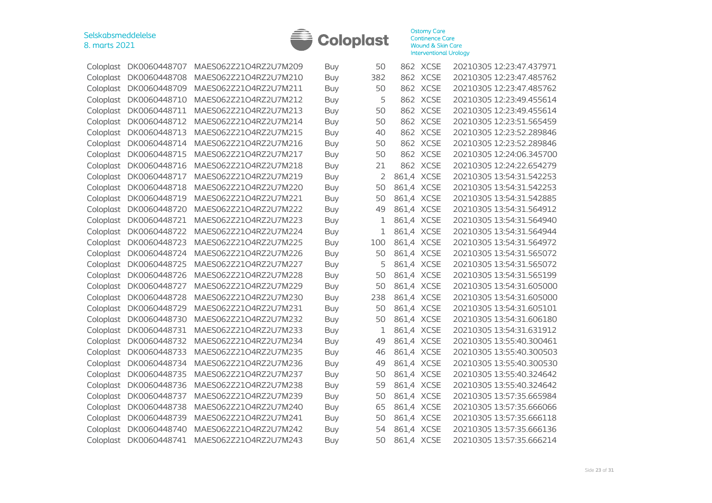

| Coloplast | DK0060448707           | MAES062Z21O4RZ2U7M209 | Buy        | 50  |            | 862 XCSE    | 20210305 12:23:47.437971 |
|-----------|------------------------|-----------------------|------------|-----|------------|-------------|--------------------------|
| Coloplast | DK0060448708           | MAES062Z21O4RZ2U7M210 | <b>Buy</b> | 382 |            | 862 XCSE    | 20210305 12:23:47.485762 |
| Coloplast | DK0060448709           | MAES062Z21O4RZ2U7M211 | Buy        | 50  |            | 862 XCSE    | 20210305 12:23:47.485762 |
| Coloplast | DK0060448710           | MAES062Z21O4RZ2U7M212 | <b>Buy</b> | 5   |            | 862 XCSE    | 20210305 12:23:49.455614 |
| Coloplast | DK0060448711           | MAES062Z21O4RZ2U7M213 | Buy        | 50  | 862        | <b>XCSE</b> | 20210305 12:23:49.455614 |
| Coloplast | DK0060448712           | MAES062Z21O4RZ2U7M214 | <b>Buy</b> | 50  | 862        | <b>XCSE</b> | 20210305 12:23:51.565459 |
| Coloplast | DK0060448713           | MAES062Z21O4RZ2U7M215 | Buy        | 40  | 862        | <b>XCSE</b> | 20210305 12:23:52.289846 |
| Coloplast | DK0060448714           | MAES062Z21O4RZ2U7M216 | <b>Buy</b> | 50  | 862        | <b>XCSE</b> | 20210305 12:23:52.289846 |
| Coloplast | DK0060448715           | MAES062Z21O4RZ2U7M217 | Buy        | 50  | 862        | <b>XCSE</b> | 20210305 12:24:06.345700 |
| Coloplast | DK0060448716           | MAES062Z21O4RZ2U7M218 | Buy        | 21  |            | 862 XCSE    | 20210305 12:24:22.654279 |
| Coloplast | DK0060448717           | MAES062Z21O4RZ2U7M219 | Buy        | 2   |            | 861,4 XCSE  | 20210305 13:54:31.542253 |
| Coloplast | DK0060448718           | MAES062Z21O4RZ2U7M220 | <b>Buy</b> | 50  |            | 861,4 XCSE  | 20210305 13:54:31.542253 |
| Coloplast | DK0060448719           | MAES062Z21O4RZ2U7M221 | Buy        | 50  |            | 861,4 XCSE  | 20210305 13:54:31.542885 |
| Coloplast | DK0060448720           | MAES062Z21O4RZ2U7M222 | <b>Buy</b> | 49  | 861,4      | <b>XCSE</b> | 20210305 13:54:31.564912 |
| Coloplast | DK0060448721           | MAES062Z21O4RZ2U7M223 | <b>Buy</b> | 1   |            | 861,4 XCSE  | 20210305 13:54:31.564940 |
| Coloplast | DK0060448722           | MAES062Z21O4RZ2U7M224 | Buy        | 1   |            | 861,4 XCSE  | 20210305 13:54:31.564944 |
| Coloplast | DK0060448723           | MAES062Z21O4RZ2U7M225 | <b>Buy</b> | 100 |            | 861,4 XCSE  | 20210305 13:54:31.564972 |
| Coloplast | DK0060448724           | MAES062Z21O4RZ2U7M226 | Buy        | 50  |            | 861,4 XCSE  | 20210305 13:54:31.565072 |
| Coloplast | DK0060448725           | MAES062Z21O4RZ2U7M227 | <b>Buy</b> | 5   |            | 861,4 XCSE  | 20210305 13:54:31.565072 |
| Coloplast | DK0060448726           | MAES062Z21O4RZ2U7M228 | Buy        | 50  |            | 861,4 XCSE  | 20210305 13:54:31.565199 |
| Coloplast | DK0060448727           | MAES062Z21O4RZ2U7M229 | <b>Buy</b> | 50  |            | 861,4 XCSE  | 20210305 13:54:31.605000 |
| Coloplast | DK0060448728           | MAES062Z21O4RZ2U7M230 | Buy        | 238 |            | 861,4 XCSE  | 20210305 13:54:31.605000 |
| Coloplast | DK0060448729           | MAES062Z21O4RZ2U7M231 | <b>Buy</b> | 50  |            | 861,4 XCSE  | 20210305 13:54:31.605101 |
| Coloplast | DK0060448730           | MAES062Z21O4RZ2U7M232 | Buy        | 50  |            | 861,4 XCSE  | 20210305 13:54:31.606180 |
| Coloplast | DK0060448731           | MAES062Z21O4RZ2U7M233 | Buy        | 1   |            | 861,4 XCSE  | 20210305 13:54:31.631912 |
| Coloplast | DK0060448732           | MAES062Z21O4RZ2U7M234 | Buy        | 49  |            | 861,4 XCSE  | 20210305 13:55:40.300461 |
| Coloplast | DK0060448733           | MAES062Z21O4RZ2U7M235 | <b>Buy</b> | 46  |            | 861,4 XCSE  | 20210305 13:55:40.300503 |
| Coloplast | DK0060448734           | MAES062Z21O4RZ2U7M236 | <b>Buy</b> | 49  |            | 861,4 XCSE  | 20210305 13:55:40.300530 |
| Coloplast | DK0060448735           | MAES062Z21O4RZ2U7M237 | Buy        | 50  |            | 861,4 XCSE  | 20210305 13:55:40.324642 |
| Coloplast | DK0060448736           | MAES062Z21O4RZ2U7M238 | <b>Buy</b> | 59  |            | 861,4 XCSE  | 20210305 13:55:40.324642 |
| Coloplast | DK0060448737           | MAES062Z21O4RZ2U7M239 | Buy        | 50  |            | 861,4 XCSE  | 20210305 13:57:35.665984 |
| Coloplast | DK0060448738           | MAES062Z21O4RZ2U7M240 | <b>Buy</b> | 65  |            | 861,4 XCSE  | 20210305 13:57:35.666066 |
| Coloplast | DK0060448739           | MAES062Z21O4RZ2U7M241 | Buy        | 50  |            | 861,4 XCSE  | 20210305 13:57:35.666118 |
| Coloplast | DK0060448740           | MAES062Z21O4RZ2U7M242 | <b>Buy</b> | 54  |            | 861,4 XCSE  | 20210305 13:57:35.666136 |
|           | Coloplast DK0060448741 | MAES062Z21O4RZ2U7M243 | Buy        | 50  | 861,4 XCSE |             | 20210305 13:57:35.666214 |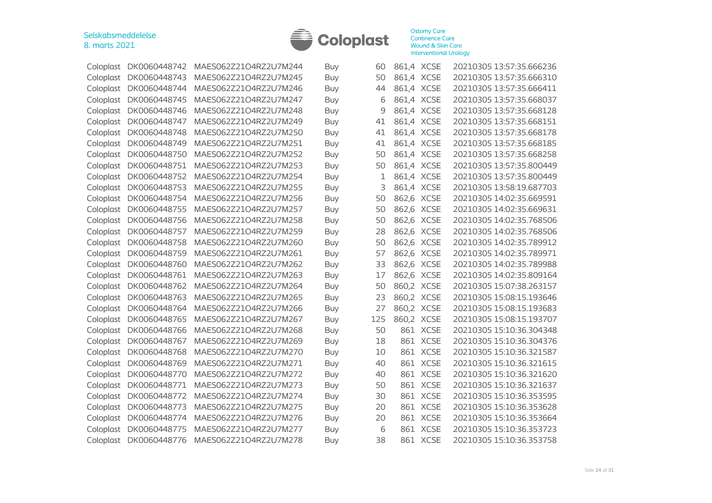

| Coloplast | DK0060448742 | MAES062Z21O4RZ2U7M244 | <b>Buy</b> | 60  | 861,4 XCSE |             | 20210305 13:57:35.666236 |
|-----------|--------------|-----------------------|------------|-----|------------|-------------|--------------------------|
| Coloplast | DK0060448743 | MAES062Z21O4RZ2U7M245 | Buy        | 50  | 861,4 XCSE |             | 20210305 13:57:35.666310 |
| Coloplast | DK0060448744 | MAES062Z21O4RZ2U7M246 | Buy        | 44  | 861,4 XCSE |             | 20210305 13:57:35.666411 |
| Coloplast | DK0060448745 | MAES062Z21O4RZ2U7M247 | Buy        | 6   | 861,4 XCSE |             | 20210305 13:57:35.668037 |
| Coloplast | DK0060448746 | MAES062Z21O4RZ2U7M248 | <b>Buy</b> | 9   | 861,4 XCSE |             | 20210305 13:57:35.668128 |
| Coloplast | DK0060448747 | MAES062Z21O4RZ2U7M249 | Buy        | 41  | 861,4 XCSE |             | 20210305 13:57:35.668151 |
| Coloplast | DK0060448748 | MAES062Z21O4RZ2U7M250 | <b>Buy</b> | 41  | 861,4 XCSE |             | 20210305 13:57:35.668178 |
| Coloplast | DK0060448749 | MAES062Z21O4RZ2U7M251 | Buy        | 41  | 861,4 XCSE |             | 20210305 13:57:35.668185 |
| Coloplast | DK0060448750 | MAES062Z21O4RZ2U7M252 | <b>Buy</b> | 50  | 861,4 XCSE |             | 20210305 13:57:35.668258 |
| Coloplast | DK0060448751 | MAES062Z21O4RZ2U7M253 | Buy        | 50  | 861,4 XCSE |             | 20210305 13:57:35.800449 |
| Coloplast | DK0060448752 | MAES062Z21O4RZ2U7M254 | <b>Buy</b> | 1   | 861,4 XCSE |             | 20210305 13:57:35.800449 |
| Coloplast | DK0060448753 | MAES062Z21O4RZ2U7M255 | Buy        | 3   | 861,4 XCSE |             | 20210305 13:58:19.687703 |
| Coloplast | DK0060448754 | MAES062Z21O4RZ2U7M256 | <b>Buy</b> | 50  | 862,6      | <b>XCSE</b> | 20210305 14:02:35.669591 |
| Coloplast | DK0060448755 | MAES062Z21O4RZ2U7M257 | Buy        | 50  | 862,6 XCSE |             | 20210305 14:02:35.669631 |
| Coloplast | DK0060448756 | MAES062Z21O4RZ2U7M258 | <b>Buy</b> | 50  | 862,6 XCSE |             | 20210305 14:02:35.768506 |
| Coloplast | DK0060448757 | MAES062Z21O4RZ2U7M259 | Buy        | 28  | 862,6 XCSE |             | 20210305 14:02:35.768506 |
| Coloplast | DK0060448758 | MAES062Z21O4RZ2U7M260 | <b>Buy</b> | 50  | 862,6 XCSE |             | 20210305 14:02:35.789912 |
| Coloplast | DK0060448759 | MAES062Z21O4RZ2U7M261 | Buy        | 57  | 862,6 XCSE |             | 20210305 14:02:35.789971 |
| Coloplast | DK0060448760 | MAES062Z21O4RZ2U7M262 | <b>Buy</b> | 33  | 862,6 XCSE |             | 20210305 14:02:35.789988 |
| Coloplast | DK0060448761 | MAES062Z21O4RZ2U7M263 | <b>Buy</b> | 17  | 862,6 XCSE |             | 20210305 14:02:35.809164 |
| Coloplast | DK0060448762 | MAES062Z21O4RZ2U7M264 | <b>Buy</b> | 50  | 860,2 XCSE |             | 20210305 15:07:38.263157 |
| Coloplast | DK0060448763 | MAES062Z21O4RZ2U7M265 | <b>Buy</b> | 23  | 860,2 XCSE |             | 20210305 15:08:15.193646 |
| Coloplast | DK0060448764 | MAES062Z21O4RZ2U7M266 | <b>Buy</b> | 27  | 860,2 XCSE |             | 20210305 15:08:15.193683 |
| Coloplast | DK0060448765 | MAES062Z21O4RZ2U7M267 | <b>Buy</b> | 125 | 860,2 XCSE |             | 20210305 15:08:15.193707 |
| Coloplast | DK0060448766 | MAES062Z21O4RZ2U7M268 | <b>Buy</b> | 50  |            | 861 XCSE    | 20210305 15:10:36.304348 |
| Coloplast | DK0060448767 | MAES062Z21O4RZ2U7M269 | Buy        | 18  | 861        | <b>XCSE</b> | 20210305 15:10:36.304376 |
| Coloplast | DK0060448768 | MAES062Z21O4RZ2U7M270 | <b>Buy</b> | 10  | 861        | <b>XCSE</b> | 20210305 15:10:36.321587 |
| Coloplast | DK0060448769 | MAES062Z21O4RZ2U7M271 | <b>Buy</b> | 40  |            | 861 XCSE    | 20210305 15:10:36.321615 |
| Coloplast | DK0060448770 | MAES062Z21O4RZ2U7M272 | <b>Buy</b> | 40  |            | 861 XCSE    | 20210305 15:10:36.321620 |
| Coloplast | DK0060448771 | MAES062Z21O4RZ2U7M273 | <b>Buy</b> | 50  | 861        | <b>XCSE</b> | 20210305 15:10:36.321637 |
| Coloplast | DK0060448772 | MAES062Z21O4RZ2U7M274 | Buy        | 30  |            | 861 XCSE    | 20210305 15:10:36.353595 |
| Coloplast | DK0060448773 | MAES062Z21O4RZ2U7M275 | Buy        | 20  |            | 861 XCSE    | 20210305 15:10:36.353628 |
| Coloplast | DK0060448774 | MAES062Z21O4RZ2U7M276 | Buy        | 20  |            | 861 XCSE    | 20210305 15:10:36.353664 |
| Coloplast | DK0060448775 | MAES062Z21O4RZ2U7M277 | <b>Buy</b> | 6   | 861        | <b>XCSE</b> | 20210305 15:10:36.353723 |
| Coloplast | DK0060448776 | MAES062Z21O4RZ2U7M278 | <b>Buy</b> | 38  |            | 861 XCSE    | 20210305 15:10:36.353758 |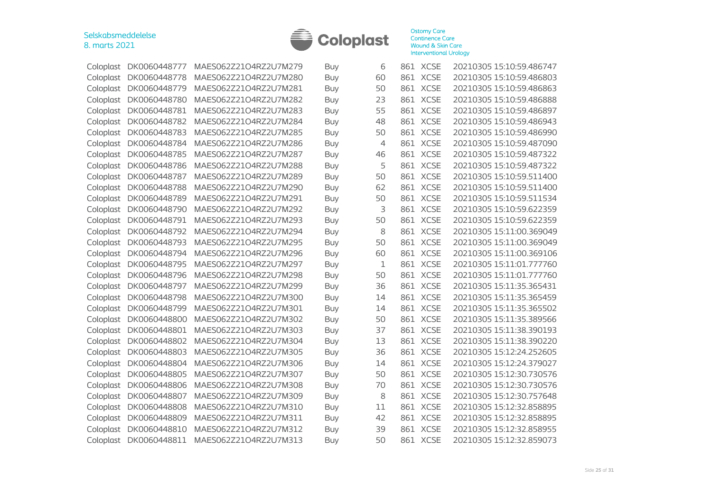

| DK0060448777                                                                                                      | MAES062Z21O4RZ2U7M279  | Buy        | 6              |             | 20210305 15:10:59.486747                                                                                                                                                                                                                                                                                                                                                                      |
|-------------------------------------------------------------------------------------------------------------------|------------------------|------------|----------------|-------------|-----------------------------------------------------------------------------------------------------------------------------------------------------------------------------------------------------------------------------------------------------------------------------------------------------------------------------------------------------------------------------------------------|
| DK0060448778                                                                                                      | MAES062Z21O4RZ2U7M280  | Buy        | 60             |             | 20210305 15:10:59.486803                                                                                                                                                                                                                                                                                                                                                                      |
| DK0060448779                                                                                                      | MAES062Z21O4RZ2U7M281  | Buy        | 50             |             | 20210305 15:10:59.486863                                                                                                                                                                                                                                                                                                                                                                      |
| DK0060448780                                                                                                      | MAES062Z21O4RZ2U7M282  | Buy        | 23             |             | 20210305 15:10:59.486888                                                                                                                                                                                                                                                                                                                                                                      |
| DK0060448781                                                                                                      | MAES062Z21O4RZ2U7M283  | Buy        | 55             |             | 20210305 15:10:59.486897                                                                                                                                                                                                                                                                                                                                                                      |
| DK0060448782                                                                                                      | MAES062Z21O4RZ2U7M284  | Buy        | 48             |             | 20210305 15:10:59.486943                                                                                                                                                                                                                                                                                                                                                                      |
| DK0060448783                                                                                                      | MAES062Z21O4RZ2U7M285  | <b>Buy</b> | 50             |             | 20210305 15:10:59.486990                                                                                                                                                                                                                                                                                                                                                                      |
| DK0060448784                                                                                                      | MAES062Z21O4RZ2U7M286  | Buy        | $\overline{4}$ |             | 20210305 15:10:59.487090                                                                                                                                                                                                                                                                                                                                                                      |
| DK0060448785                                                                                                      | MAES062Z21O4RZ2U7M287  | <b>Buy</b> | 46             | <b>XCSE</b> | 20210305 15:10:59.487322                                                                                                                                                                                                                                                                                                                                                                      |
| DK0060448786                                                                                                      | MAES062Z21O4RZ2U7M288  | Buy        | 5              | <b>XCSE</b> | 20210305 15:10:59.487322                                                                                                                                                                                                                                                                                                                                                                      |
| DK0060448787                                                                                                      | MAES062Z21O4RZ2U7M289  | <b>Buy</b> | 50             |             | 20210305 15:10:59.511400                                                                                                                                                                                                                                                                                                                                                                      |
| DK0060448788                                                                                                      | MAES062Z21O4RZ2U7M290  | Buy        | 62             |             | 20210305 15:10:59.511400                                                                                                                                                                                                                                                                                                                                                                      |
| DK0060448789                                                                                                      | MAES062Z21O4RZ2U7M291  | Buy        | 50             | <b>XCSE</b> | 20210305 15:10:59.511534                                                                                                                                                                                                                                                                                                                                                                      |
| DK0060448790                                                                                                      | MAES062Z21O4RZ2U7M292  | <b>Buy</b> | 3              |             | 20210305 15:10:59.622359                                                                                                                                                                                                                                                                                                                                                                      |
| DK0060448791                                                                                                      | MAES062Z21O4RZ2U7M293  | <b>Buy</b> | 50             |             | 20210305 15:10:59.622359                                                                                                                                                                                                                                                                                                                                                                      |
| DK0060448792                                                                                                      | MAES062Z21O4RZ2U7M294  | <b>Buy</b> | 8              |             | 20210305 15:11:00.369049                                                                                                                                                                                                                                                                                                                                                                      |
| DK0060448793                                                                                                      | MAES062Z21O4RZ2U7M295  | Buy        | 50             |             | 20210305 15:11:00.369049                                                                                                                                                                                                                                                                                                                                                                      |
| DK0060448794                                                                                                      | MAES062Z21O4RZ2U7M296  | Buy        | 60             |             | 20210305 15:11:00.369106                                                                                                                                                                                                                                                                                                                                                                      |
| DK0060448795                                                                                                      | MAES062Z21O4RZ2U7M297  | Buy        | 1              |             | 20210305 15:11:01.777760                                                                                                                                                                                                                                                                                                                                                                      |
| DK0060448796                                                                                                      | MAES062Z21O4RZ2U7M298  | Buy        | 50             |             | 20210305 15:11:01.777760                                                                                                                                                                                                                                                                                                                                                                      |
| DK0060448797                                                                                                      | MAES062Z21O4RZ2U7M299  | <b>Buy</b> | 36             |             | 20210305 15:11:35.365431                                                                                                                                                                                                                                                                                                                                                                      |
| DK0060448798                                                                                                      | MAES062Z21O4RZ2U7M300  | <b>Buy</b> | 14             |             | 20210305 15:11:35.365459                                                                                                                                                                                                                                                                                                                                                                      |
| DK0060448799                                                                                                      | MAES062Z21O4RZ2U7M301  | <b>Buy</b> | 14             | <b>XCSE</b> | 20210305 15:11:35.365502                                                                                                                                                                                                                                                                                                                                                                      |
| DK0060448800                                                                                                      | MAES062Z21O4RZ2U7M302  | <b>Buy</b> | 50             | <b>XCSE</b> | 20210305 15:11:35.389566                                                                                                                                                                                                                                                                                                                                                                      |
| DK0060448801                                                                                                      | MAES062Z21O4RZ2U7M303  | Buy        | 37             |             | 20210305 15:11:38.390193                                                                                                                                                                                                                                                                                                                                                                      |
| DK0060448802                                                                                                      | MAES062Z21O4RZ2U7M304  | <b>Buy</b> | 13             |             | 20210305 15:11:38.390220                                                                                                                                                                                                                                                                                                                                                                      |
| DK0060448803                                                                                                      | MAES062Z21O4RZ2U7M305  | Buy        | 36             | <b>XCSE</b> | 20210305 15:12:24.252605                                                                                                                                                                                                                                                                                                                                                                      |
| DK0060448804                                                                                                      | MAES062Z21O4RZ2U7M306  | <b>Buy</b> | 14             |             | 20210305 15:12:24.379027                                                                                                                                                                                                                                                                                                                                                                      |
| DK0060448805                                                                                                      | MAES062Z21O4RZ2U7M307  | <b>Buy</b> | 50             |             | 20210305 15:12:30.730576                                                                                                                                                                                                                                                                                                                                                                      |
| DK0060448806                                                                                                      | MAES062Z21O4RZ2U7M308  | <b>Buy</b> | 70             |             | 20210305 15:12:30.730576                                                                                                                                                                                                                                                                                                                                                                      |
| DK0060448807                                                                                                      | MAES062Z21O4RZ2U7M309  | <b>Buy</b> | 8              |             | 20210305 15:12:30.757648                                                                                                                                                                                                                                                                                                                                                                      |
| DK0060448808                                                                                                      | MAES062Z21O4RZ2U7M310  | Buy        | 11             |             | 20210305 15:12:32.858895                                                                                                                                                                                                                                                                                                                                                                      |
| DK0060448809                                                                                                      | MAES062Z21O4RZ2U7M311  | Buy        | 42             |             | 20210305 15:12:32.858895                                                                                                                                                                                                                                                                                                                                                                      |
| DK0060448810                                                                                                      | MAES062Z21O4RZ2U7M312  | Buy        | 39             | <b>XCSE</b> | 20210305 15:12:32.858955                                                                                                                                                                                                                                                                                                                                                                      |
|                                                                                                                   | MAES062Z21O4RZ2U7M313  | Buy        | 50             |             | 20210305 15:12:32.859073                                                                                                                                                                                                                                                                                                                                                                      |
| Coloplast<br>Coloplast<br>Coloplast<br>Coloplast<br>Coloplast<br>Coloplast<br>Coloplast<br>Coloplast<br>Coloplast | Coloplast DK0060448811 |            |                |             | 861 XCSE<br>861 XCSE<br>861 XCSE<br>861 XCSE<br>861 XCSE<br>861 XCSE<br>861 XCSE<br>861 XCSE<br>861<br>861<br>861 XCSE<br>861 XCSE<br>861<br>861 XCSE<br>861 XCSE<br>861 XCSE<br>861 XCSE<br>861 XCSE<br>861 XCSE<br>861 XCSE<br>861 XCSE<br>861 XCSE<br>861<br>861<br>861 XCSE<br>861 XCSE<br>861<br>861 XCSE<br>861 XCSE<br>861 XCSE<br>861 XCSE<br>861 XCSE<br>861 XCSE<br>861<br>861 XCSE |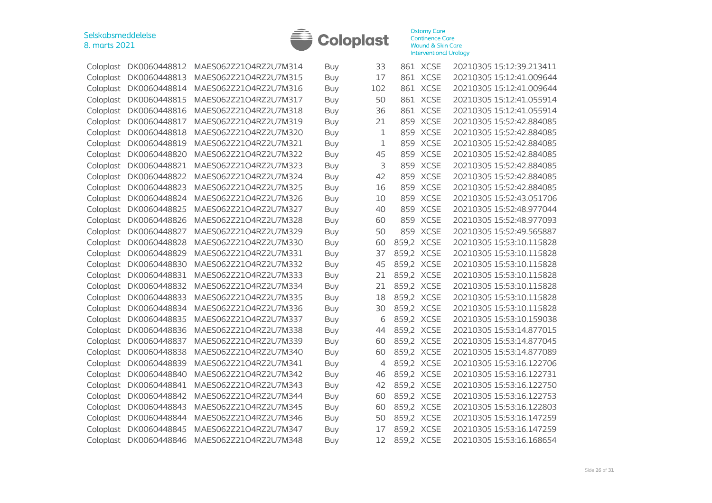

|           | Coloplast DK0060448812 | MAES062Z21O4RZ2U7M314 | Buy        | 33  |            | 861 XCSE    | 20210305 15:12:39.213411 |
|-----------|------------------------|-----------------------|------------|-----|------------|-------------|--------------------------|
|           | Coloplast DK0060448813 | MAES062Z21O4RZ2U7M315 | <b>Buy</b> | 17  |            | 861 XCSE    | 20210305 15:12:41.009644 |
| Coloplast | DK0060448814           | MAES062Z21O4RZ2U7M316 | Buy        | 102 |            | 861 XCSE    | 20210305 15:12:41.009644 |
| Coloplast | DK0060448815           | MAES062Z21O4RZ2U7M317 | Buy        | 50  | 861        | <b>XCSE</b> | 20210305 15:12:41.055914 |
| Coloplast | DK0060448816           | MAES062Z21O4RZ2U7M318 | Buy        | 36  | 861        | <b>XCSE</b> | 20210305 15:12:41.055914 |
| Coloplast | DK0060448817           | MAES062Z21O4RZ2U7M319 | Buy        | 21  | 859        | <b>XCSE</b> | 20210305 15:52:42.884085 |
| Coloplast | DK0060448818           | MAES062Z21O4RZ2U7M320 | Buy        | 1   | 859        | <b>XCSE</b> | 20210305 15:52:42.884085 |
| Coloplast | DK0060448819           | MAES062Z21O4RZ2U7M321 | Buy        | 1   | 859        | <b>XCSE</b> | 20210305 15:52:42.884085 |
| Coloplast | DK0060448820           | MAES062Z21O4RZ2U7M322 | Buy        | 45  | 859        | <b>XCSE</b> | 20210305 15:52:42.884085 |
| Coloplast | DK0060448821           | MAES062Z21O4RZ2U7M323 | Buy        | 3   | 859        | <b>XCSE</b> | 20210305 15:52:42.884085 |
| Coloplast | DK0060448822           | MAES062Z21O4RZ2U7M324 | Buy        | 42  | 859        | <b>XCSE</b> | 20210305 15:52:42.884085 |
| Coloplast | DK0060448823           | MAES062Z21O4RZ2U7M325 | Buy        | 16  | 859        | <b>XCSE</b> | 20210305 15:52:42.884085 |
| Coloplast | DK0060448824           | MAES062Z21O4RZ2U7M326 | Buy        | 10  | 859        | <b>XCSE</b> | 20210305 15:52:43.051706 |
| Coloplast | DK0060448825           | MAES062Z21O4RZ2U7M327 | <b>Buy</b> | 40  | 859        | <b>XCSE</b> | 20210305 15:52:48.977044 |
| Coloplast | DK0060448826           | MAES062Z21O4RZ2U7M328 | Buy        | 60  | 859        | <b>XCSE</b> | 20210305 15:52:48.977093 |
| Coloplast | DK0060448827           | MAES062Z21O4RZ2U7M329 | Buy        | 50  | 859        | <b>XCSE</b> | 20210305 15:52:49.565887 |
|           | Coloplast DK0060448828 | MAES062Z21O4RZ2U7M330 | <b>Buy</b> | 60  | 859,2 XCSE |             | 20210305 15:53:10.115828 |
| Coloplast | DK0060448829           | MAES062Z21O4RZ2U7M331 | Buy        | 37  | 859,2 XCSE |             | 20210305 15:53:10.115828 |
| Coloplast | DK0060448830           | MAES062Z21O4RZ2U7M332 | <b>Buy</b> | 45  | 859,2 XCSE |             | 20210305 15:53:10.115828 |
| Coloplast | DK0060448831           | MAES062Z21O4RZ2U7M333 | Buy        | 21  | 859,2 XCSE |             | 20210305 15:53:10.115828 |
| Coloplast | DK0060448832           | MAES062Z21O4RZ2U7M334 | Buy        | 21  | 859,2 XCSE |             | 20210305 15:53:10.115828 |
| Coloplast | DK0060448833           | MAES062Z21O4RZ2U7M335 | Buy        | 18  | 859,2 XCSE |             | 20210305 15:53:10.115828 |
| Coloplast | DK0060448834           | MAES062Z21O4RZ2U7M336 | Buy        | 30  | 859,2 XCSE |             | 20210305 15:53:10.115828 |
| Coloplast | DK0060448835           | MAES062Z21O4RZ2U7M337 | Buy        | 6   | 859,2 XCSE |             | 20210305 15:53:10.159038 |
| Coloplast | DK0060448836           | MAES062Z21O4RZ2U7M338 | Buy        | 44  | 859,2 XCSE |             | 20210305 15:53:14.877015 |
| Coloplast | DK0060448837           | MAES062Z21O4RZ2U7M339 | Buy        | 60  | 859,2 XCSE |             | 20210305 15:53:14.877045 |
| Coloplast | DK0060448838           | MAES062Z21O4RZ2U7M340 | Buy        | 60  | 859,2      | <b>XCSE</b> | 20210305 15:53:14.877089 |
| Coloplast | DK0060448839           | MAES062Z21O4RZ2U7M341 | Buy        | 4   | 859,2 XCSE |             | 20210305 15:53:16.122706 |
| Coloplast | DK0060448840           | MAES062Z21O4RZ2U7M342 | Buy        | 46  | 859,2 XCSE |             | 20210305 15:53:16.122731 |
| Coloplast | DK0060448841           | MAES062Z21O4RZ2U7M343 | Buy        | 42  | 859,2 XCSE |             | 20210305 15:53:16.122750 |
| Coloplast | DK0060448842           | MAES062Z21O4RZ2U7M344 | Buy        | 60  | 859,2 XCSE |             | 20210305 15:53:16.122753 |
| Coloplast | DK0060448843           | MAES062Z21O4RZ2U7M345 | Buy        | 60  | 859,2 XCSE |             | 20210305 15:53:16.122803 |
| Coloplast | DK0060448844           | MAES062Z21O4RZ2U7M346 | Buy        | 50  | 859,2 XCSE |             | 20210305 15:53:16.147259 |
| Coloplast | DK0060448845           | MAES062Z21O4RZ2U7M347 | <b>Buy</b> | 17  | 859,2 XCSE |             | 20210305 15:53:16.147259 |
|           | Coloplast DK0060448846 | MAES062Z21O4RZ2U7M348 | Buy        | 12  | 859,2 XCSE |             | 20210305 15:53:16.168654 |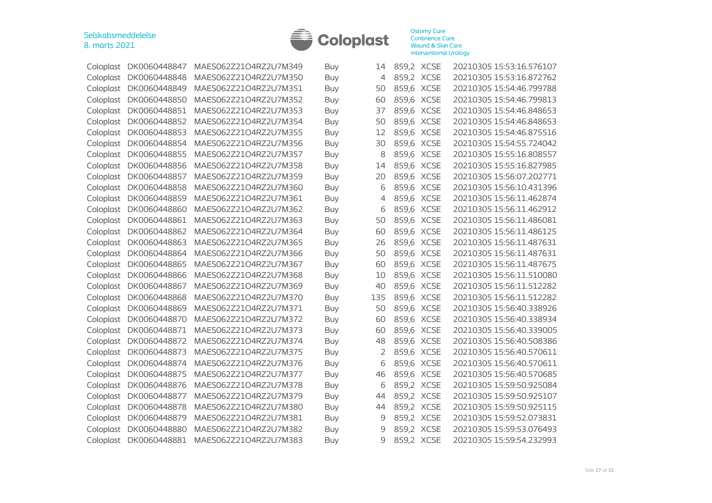

| Coloplast | DK0060448847 | MAES062Z21O4RZ2U7M349 | Buy        | 14  | 859,2 XCSE |             | 20210305 15:53:16.576107 |
|-----------|--------------|-----------------------|------------|-----|------------|-------------|--------------------------|
| Coloplast | DK0060448848 | MAES062Z21O4RZ2U7M350 | <b>Buy</b> | 4   | 859,2 XCSE |             | 20210305 15:53:16.872762 |
| Coloplast | DK0060448849 | MAES062Z21O4RZ2U7M351 | <b>Buy</b> | 50  | 859,6 XCSE |             | 20210305 15:54:46.799788 |
| Coloplast | DK0060448850 | MAES062Z21O4RZ2U7M352 | <b>Buy</b> | 60  | 859,6      | <b>XCSE</b> | 20210305 15:54:46.799813 |
| Coloplast | DK0060448851 | MAES062Z21O4RZ2U7M353 | <b>Buy</b> | 37  | 859,6      | <b>XCSE</b> | 20210305 15:54:46.848653 |
| Coloplast | DK0060448852 | MAES062Z21O4RZ2U7M354 | <b>Buy</b> | 50  | 859,6 XCSE |             | 20210305 15:54:46.848653 |
| Coloplast | DK0060448853 | MAES062Z21O4RZ2U7M355 | <b>Buy</b> | 12  | 859,6      | <b>XCSE</b> | 20210305 15:54:46.875516 |
| Coloplast | DK0060448854 | MAES062Z21O4RZ2U7M356 | <b>Buy</b> | 30  | 859,6      | <b>XCSE</b> | 20210305 15:54:55.724042 |
| Coloplast | DK0060448855 | MAES062Z21O4RZ2U7M357 | <b>Buy</b> | 8   | 859,6 XCSE |             | 20210305 15:55:16.808557 |
| Coloplast | DK0060448856 | MAES062Z21O4RZ2U7M358 | <b>Buy</b> | 14  | 859,6 XCSE |             | 20210305 15:55:16.827985 |
| Coloplast | DK0060448857 | MAES062Z21O4RZ2U7M359 | <b>Buy</b> | 20  | 859,6      | <b>XCSE</b> | 20210305 15:56:07.202771 |
| Coloplast | DK0060448858 | MAES062Z21O4RZ2U7M360 | <b>Buy</b> | 6   | 859,6      | <b>XCSE</b> | 20210305 15:56:10.431396 |
| Coloplast | DK0060448859 | MAES062Z21O4RZ2U7M361 | Buy        | 4   | 859,6      | <b>XCSE</b> | 20210305 15:56:11.462874 |
| Coloplast | DK0060448860 | MAES062Z21O4RZ2U7M362 | <b>Buy</b> | 6   | 859,6      | <b>XCSE</b> | 20210305 15:56:11.462912 |
| Coloplast | DK0060448861 | MAES062Z21O4RZ2U7M363 | <b>Buy</b> | 50  | 859,6 XCSE |             | 20210305 15:56:11.486081 |
| Coloplast | DK0060448862 | MAES062Z21O4RZ2U7M364 | <b>Buy</b> | 60  | 859,6 XCSE |             | 20210305 15:56:11.486125 |
| Coloplast | DK0060448863 | MAES062Z21O4RZ2U7M365 | <b>Buy</b> | 26  | 859,6 XCSE |             | 20210305 15:56:11.487631 |
| Coloplast | DK0060448864 | MAES062Z21O4RZ2U7M366 | <b>Buy</b> | 50  | 859,6 XCSE |             | 20210305 15:56:11.487631 |
| Coloplast | DK0060448865 | MAES062Z21O4RZ2U7M367 | <b>Buy</b> | 60  | 859,6 XCSE |             | 20210305 15:56:11.487675 |
| Coloplast | DK0060448866 | MAES062Z21O4RZ2U7M368 | Buy        | 10  | 859,6      | <b>XCSE</b> | 20210305 15:56:11.510080 |
| Coloplast | DK0060448867 | MAES062Z21O4RZ2U7M369 | <b>Buy</b> | 40  | 859,6 XCSE |             | 20210305 15:56:11.512282 |
| Coloplast | DK0060448868 | MAES062Z21O4RZ2U7M370 | <b>Buy</b> | 135 | 859,6      | <b>XCSE</b> | 20210305 15:56:11.512282 |
| Coloplast | DK0060448869 | MAES062Z21O4RZ2U7M371 | <b>Buy</b> | 50  | 859,6      | <b>XCSE</b> | 20210305 15:56:40.338926 |
| Coloplast | DK0060448870 | MAES062Z21O4RZ2U7M372 | Buy        | 60  | 859,6      | <b>XCSE</b> | 20210305 15:56:40.338934 |
| Coloplast | DK0060448871 | MAES062Z21O4RZ2U7M373 | <b>Buy</b> | 60  | 859,6 XCSE |             | 20210305 15:56:40.339005 |
| Coloplast | DK0060448872 | MAES062Z21O4RZ2U7M374 | <b>Buy</b> | 48  | 859,6      | <b>XCSE</b> | 20210305 15:56:40.508386 |
| Coloplast | DK0060448873 | MAES062Z21O4RZ2U7M375 | Buy        | 2   | 859,6      | <b>XCSE</b> | 20210305 15:56:40.570611 |
| Coloplast | DK0060448874 | MAES062Z21O4RZ2U7M376 | <b>Buy</b> | 6   | 859,6      | <b>XCSE</b> | 20210305 15:56:40.570611 |
| Coloplast | DK0060448875 | MAES062Z21O4RZ2U7M377 | <b>Buy</b> | 46  | 859,6      | <b>XCSE</b> | 20210305 15:56:40.570685 |
| Coloplast | DK0060448876 | MAES062Z21O4RZ2U7M378 | <b>Buy</b> | 6   | 859,2 XCSE |             | 20210305 15:59:50.925084 |
| Coloplast | DK0060448877 | MAES062Z21O4RZ2U7M379 | <b>Buy</b> | 44  | 859,2 XCSE |             | 20210305 15:59:50.925107 |
| Coloplast | DK0060448878 | MAES062Z21O4RZ2U7M380 | <b>Buy</b> | 44  | 859,2 XCSE |             | 20210305 15:59:50.925115 |
| Coloplast | DK0060448879 | MAES062Z21O4RZ2U7M381 | <b>Buy</b> | 9   | 859,2 XCSE |             | 20210305 15:59:52.073831 |
| Coloplast | DK0060448880 | MAES062Z21O4RZ2U7M382 | <b>Buy</b> | 9   | 859,2 XCSE |             | 20210305 15:59:53.076493 |
| Coloplast | DK0060448881 | MAES062Z21O4RZ2U7M383 | Buy        | 9   | 859,2 XCSE |             | 20210305 15:59:54.232993 |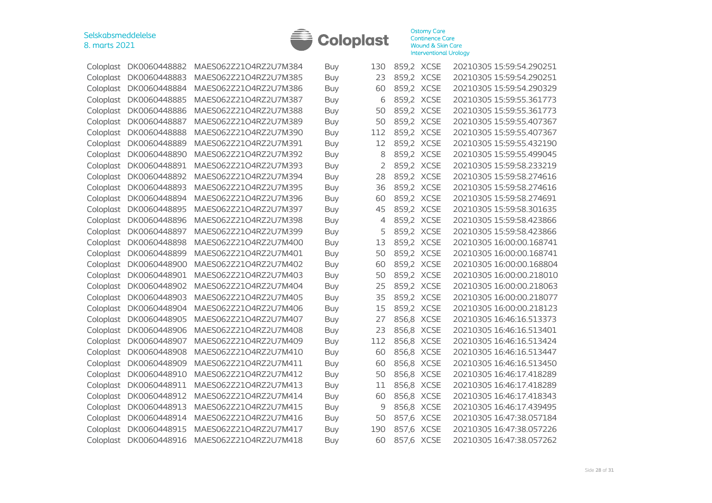

|           | Coloplast DK0060448882 | MAES062Z21O4RZ2U7M384 | Buy        | 130            | 859,2 XCSE |             | 20210305 15:59:54.290251 |
|-----------|------------------------|-----------------------|------------|----------------|------------|-------------|--------------------------|
| Coloplast | DK0060448883           | MAES062Z21O4RZ2U7M385 | <b>Buy</b> | 23             | 859,2 XCSE |             | 20210305 15:59:54.290251 |
| Coloplast | DK0060448884           | MAES062Z21O4RZ2U7M386 | Buy        | 60             | 859,2 XCSE |             | 20210305 15:59:54.290329 |
| Coloplast | DK0060448885           | MAES062Z21O4RZ2U7M387 | Buy        | 6              | 859,2 XCSE |             | 20210305 15:59:55.361773 |
| Coloplast | DK0060448886           | MAES062Z21O4RZ2U7M388 | Buy        | 50             | 859,2 XCSE |             | 20210305 15:59:55.361773 |
| Coloplast | DK0060448887           | MAES062Z21O4RZ2U7M389 | <b>Buy</b> | 50             | 859,2 XCSE |             | 20210305 15:59:55.407367 |
| Coloplast | DK0060448888           | MAES062Z21O4RZ2U7M390 | Buy        | 112            | 859,2 XCSE |             | 20210305 15:59:55.407367 |
| Coloplast | DK0060448889           | MAES062Z21O4RZ2U7M391 | <b>Buy</b> | 12             | 859,2 XCSE |             | 20210305 15:59:55.432190 |
| Coloplast | DK0060448890           | MAES062Z21O4RZ2U7M392 | <b>Buy</b> | 8              | 859,2 XCSE |             | 20210305 15:59:55.499045 |
| Coloplast | DK0060448891           | MAES062Z21O4RZ2U7M393 | Buy        | $\overline{2}$ | 859,2 XCSE |             | 20210305 15:59:58.233219 |
| Coloplast | DK0060448892           | MAES062Z21O4RZ2U7M394 | <b>Buy</b> | 28             | 859,2 XCSE |             | 20210305 15:59:58.274616 |
| Coloplast | DK0060448893           | MAES062Z21O4RZ2U7M395 | Buy        | 36             | 859,2 XCSE |             | 20210305 15:59:58.274616 |
| Coloplast | DK0060448894           | MAES062Z21O4RZ2U7M396 | <b>Buy</b> | 60             | 859,2 XCSE |             | 20210305 15:59:58.274691 |
| Coloplast | DK0060448895           | MAES062Z21O4RZ2U7M397 | <b>Buy</b> | 45             | 859,2 XCSE |             | 20210305 15:59:58.301635 |
| Coloplast | DK0060448896           | MAES062Z21O4RZ2U7M398 | <b>Buy</b> | 4              | 859,2 XCSE |             | 20210305 15:59:58.423866 |
| Coloplast | DK0060448897           | MAES062Z21O4RZ2U7M399 | <b>Buy</b> | 5              | 859,2 XCSE |             | 20210305 15:59:58.423866 |
| Coloplast | DK0060448898           | MAES062Z21O4RZ2U7M400 | <b>Buy</b> | 13             | 859,2 XCSE |             | 20210305 16:00:00.168741 |
| Coloplast | DK0060448899           | MAES062Z21O4RZ2U7M401 | <b>Buy</b> | 50             | 859,2 XCSE |             | 20210305 16:00:00.168741 |
| Coloplast | DK0060448900           | MAES062Z21O4RZ2U7M402 | Buy        | 60             | 859,2 XCSE |             | 20210305 16:00:00.168804 |
| Coloplast | DK0060448901           | MAES062Z21O4RZ2U7M403 | <b>Buy</b> | 50             | 859,2 XCSE |             | 20210305 16:00:00.218010 |
| Coloplast | DK0060448902           | MAES062Z21O4RZ2U7M404 | <b>Buy</b> | 25             | 859,2 XCSE |             | 20210305 16:00:00.218063 |
| Coloplast | DK0060448903           | MAES062Z21O4RZ2U7M405 | <b>Buy</b> | 35             | 859,2 XCSE |             | 20210305 16:00:00.218077 |
| Coloplast | DK0060448904           | MAES062Z21O4RZ2U7M406 | <b>Buy</b> | 15             | 859,2 XCSE |             | 20210305 16:00:00.218123 |
| Coloplast | DK0060448905           | MAES062Z21O4RZ2U7M407 | <b>Buy</b> | 27             |            | 856,8 XCSE  | 20210305 16:46:16.513373 |
| Coloplast | DK0060448906           | MAES062Z21O4RZ2U7M408 | <b>Buy</b> | 23             | 856,8 XCSE |             | 20210305 16:46:16.513401 |
| Coloplast | DK0060448907           | MAES062Z21O4RZ2U7M409 | Buy        | 112            | 856,8 XCSE |             | 20210305 16:46:16.513424 |
| Coloplast | DK0060448908           | MAES062Z21O4RZ2U7M410 | <b>Buy</b> | 60             | 856,8      | <b>XCSE</b> | 20210305 16:46:16.513447 |
| Coloplast | DK0060448909           | MAES062Z21O4RZ2U7M411 | <b>Buy</b> | 60             | 856,8 XCSE |             | 20210305 16:46:16.513450 |
| Coloplast | DK0060448910           | MAES062Z21O4RZ2U7M412 | <b>Buy</b> | 50             | 856,8 XCSE |             | 20210305 16:46:17.418289 |
| Coloplast | DK0060448911           | MAES062Z21O4RZ2U7M413 | <b>Buy</b> | 11             | 856,8 XCSE |             | 20210305 16:46:17.418289 |
| Coloplast | DK0060448912           | MAES062Z21O4RZ2U7M414 | <b>Buy</b> | 60             | 856,8 XCSE |             | 20210305 16:46:17.418343 |
| Coloplast | DK0060448913           | MAES062Z21O4RZ2U7M415 | <b>Buy</b> | 9              | 856,8 XCSE |             | 20210305 16:46:17.439495 |
| Coloplast | DK0060448914           | MAES062Z21O4RZ2U7M416 | Buy        | 50             | 857,6 XCSE |             | 20210305 16:47:38.057184 |
| Coloplast | DK0060448915           | MAES062Z21O4RZ2U7M417 | <b>Buy</b> | 190            | 857,6 XCSE |             | 20210305 16:47:38.057226 |
|           | Coloplast DK0060448916 | MAES062Z21O4RZ2U7M418 | Buy        | 60             | 857,6 XCSE |             | 20210305 16:47:38.057262 |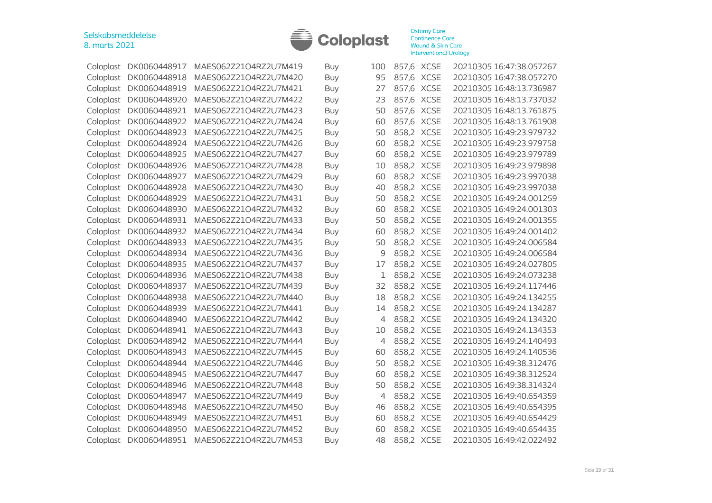

| Coloplast | DK0060448917           | MAES062Z21O4RZ2U7M419 | Buy        | 100 | 857,6 XCSE | 20210305 16:47:38.057267 |
|-----------|------------------------|-----------------------|------------|-----|------------|--------------------------|
| Coloplast | DK0060448918           | MAES062Z21O4RZ2U7M420 | <b>Buy</b> | 95  | 857,6 XCSE | 20210305 16:47:38.057270 |
| Coloplast | DK0060448919           | MAES062Z21O4RZ2U7M421 | Buy        | 27  | 857,6 XCSE | 20210305 16:48:13.736987 |
| Coloplast | DK0060448920           | MAES062Z21O4RZ2U7M422 | Buy        | 23  | 857,6 XCSE | 20210305 16:48:13.737032 |
| Coloplast | DK0060448921           | MAES062Z21O4RZ2U7M423 | <b>Buy</b> | 50  | 857,6 XCSE | 20210305 16:48:13.761875 |
| Coloplast | DK0060448922           | MAES062Z21O4RZ2U7M424 | Buy        | 60  | 857,6 XCSE | 20210305 16:48:13.761908 |
| Coloplast | DK0060448923           | MAES062Z21O4RZ2U7M425 | <b>Buy</b> | 50  | 858,2 XCSE | 20210305 16:49:23.979732 |
| Coloplast | DK0060448924           | MAES062Z21O4RZ2U7M426 | <b>Buy</b> | 60  | 858,2 XCSE | 20210305 16:49:23.979758 |
| Coloplast | DK0060448925           | MAES062Z21O4RZ2U7M427 | <b>Buy</b> | 60  | 858,2 XCSE | 20210305 16:49:23.979789 |
| Coloplast | DK0060448926           | MAES062Z21O4RZ2U7M428 | <b>Buy</b> | 10  | 858,2 XCSE | 20210305 16:49:23.979898 |
| Coloplast | DK0060448927           | MAES062Z21O4RZ2U7M429 | Buy        | 60  | 858,2 XCSE | 20210305 16:49:23.997038 |
| Coloplast | DK0060448928           | MAES062Z21O4RZ2U7M430 | <b>Buy</b> | 40  | 858,2 XCSE | 20210305 16:49:23.997038 |
| Coloplast | DK0060448929           | MAES062Z21O4RZ2U7M431 | <b>Buy</b> | 50  | 858,2 XCSE | 20210305 16:49:24.001259 |
| Coloplast | DK0060448930           | MAES062Z21O4RZ2U7M432 | <b>Buy</b> | 60  | 858,2 XCSE | 20210305 16:49:24.001303 |
| Coloplast | DK0060448931           | MAES062Z21O4RZ2U7M433 | <b>Buy</b> | 50  | 858,2 XCSE | 20210305 16:49:24.001355 |
| Coloplast | DK0060448932           | MAES062Z21O4RZ2U7M434 | <b>Buy</b> | 60  | 858,2 XCSE | 20210305 16:49:24.001402 |
| Coloplast | DK0060448933           | MAES062Z21O4RZ2U7M435 | Buy        | 50  | 858,2 XCSE | 20210305 16:49:24.006584 |
| Coloplast | DK0060448934           | MAES062Z21O4RZ2U7M436 | <b>Buy</b> | 9   | 858,2 XCSE | 20210305 16:49:24.006584 |
| Coloplast | DK0060448935           | MAES062Z21O4RZ2U7M437 | <b>Buy</b> | 17  | 858,2 XCSE | 20210305 16:49:24.027805 |
| Coloplast | DK0060448936           | MAES062Z21O4RZ2U7M438 | Buy        | 1   | 858,2 XCSE | 20210305 16:49:24.073238 |
| Coloplast | DK0060448937           | MAES062Z21O4RZ2U7M439 | <b>Buy</b> | 32  | 858,2 XCSE | 20210305 16:49:24.117446 |
| Coloplast | DK0060448938           | MAES062Z21O4RZ2U7M440 | <b>Buy</b> | 18  | 858,2 XCSE | 20210305 16:49:24.134255 |
| Coloplast | DK0060448939           | MAES062Z21O4RZ2U7M441 | Buy        | 14  | 858,2 XCSE | 20210305 16:49:24.134287 |
| Coloplast | DK0060448940           | MAES062Z21O4RZ2U7M442 | <b>Buy</b> | 4   | 858,2 XCSE | 20210305 16:49:24.134320 |
| Coloplast | DK0060448941           | MAES062Z21O4RZ2U7M443 | <b>Buy</b> | 10  | 858,2 XCSE | 20210305 16:49:24.134353 |
| Coloplast | DK0060448942           | MAES062Z21O4RZ2U7M444 | Buy        | 4   | 858,2 XCSE | 20210305 16:49:24.140493 |
| Coloplast | DK0060448943           | MAES062Z21O4RZ2U7M445 | <b>Buy</b> | 60  | 858,2 XCSE | 20210305 16:49:24.140536 |
| Coloplast | DK0060448944           | MAES062Z21O4RZ2U7M446 | <b>Buy</b> | 50  | 858,2 XCSE | 20210305 16:49:38.312476 |
| Coloplast | DK0060448945           | MAES062Z21O4RZ2U7M447 | Buy        | 60  | 858,2 XCSE | 20210305 16:49:38.312524 |
| Coloplast | DK0060448946           | MAES062Z21O4RZ2U7M448 | <b>Buy</b> | 50  | 858,2 XCSE | 20210305 16:49:38.314324 |
| Coloplast | DK0060448947           | MAES062Z21O4RZ2U7M449 | <b>Buy</b> | 4   | 858,2 XCSE | 20210305 16:49:40.654359 |
| Coloplast | DK0060448948           | MAES062Z21O4RZ2U7M450 | Buy        | 46  | 858,2 XCSE | 20210305 16:49:40.654395 |
| Coloplast | DK0060448949           | MAES062Z21O4RZ2U7M451 | <b>Buy</b> | 60  | 858,2 XCSE | 20210305 16:49:40.654429 |
| Coloplast | DK0060448950           | MAES062Z21O4RZ2U7M452 | <b>Buy</b> | 60  | 858,2 XCSE | 20210305 16:49:40.654435 |
|           | Coloplast DK0060448951 | MAES062Z21O4RZ2U7M453 | Buy        | 48  | 858,2 XCSE | 20210305 16:49:42.022492 |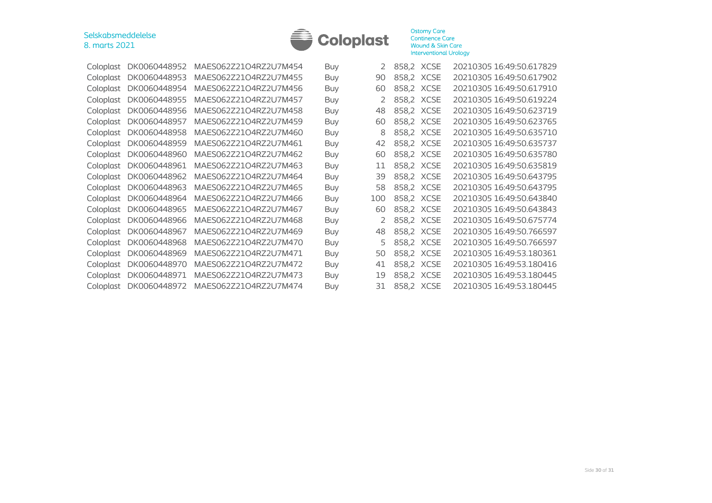

| Coloplast | DK0060448952 | MAES062Z21O4RZ2U7M454 | <b>Buy</b> | 2.            | 858,2 XCSE | 20210305 16:49:50.617829 |
|-----------|--------------|-----------------------|------------|---------------|------------|--------------------------|
| Coloplast | DK0060448953 | MAES062Z21O4RZ2U7M455 | <b>Buy</b> | 90            | 858,2 XCSE | 20210305 16:49:50.617902 |
| Coloplast | DK0060448954 | MAES062Z21O4RZ2U7M456 | <b>Buy</b> | 60            | 858,2 XCSE | 20210305 16:49:50.617910 |
| Coloplast | DK0060448955 | MAES062Z21O4RZ2U7M457 | <b>Buy</b> | 2             | 858,2 XCSE | 20210305 16:49:50.619224 |
| Coloplast | DK0060448956 | MAES062Z21O4RZ2U7M458 | <b>Buy</b> | 48            | 858,2 XCSE | 20210305 16:49:50.623719 |
| Coloplast | DK0060448957 | MAES062Z21O4RZ2U7M459 | <b>Buy</b> | 60            | 858,2 XCSE | 20210305 16:49:50.623765 |
| Coloplast | DK0060448958 | MAES062Z21O4RZ2U7M460 | <b>Buy</b> | 8             | 858,2 XCSE | 20210305 16:49:50.635710 |
| Coloplast | DK0060448959 | MAES062Z21O4RZ2U7M461 | <b>Buy</b> | 42            | 858,2 XCSE | 20210305 16:49:50.635737 |
| Coloplast | DK0060448960 | MAES062Z21O4RZ2U7M462 | <b>Buy</b> | 60            | 858,2 XCSE | 20210305 16:49:50.635780 |
| Coloplast | DK0060448961 | MAES062Z21O4RZ2U7M463 | <b>Buy</b> | 11            | 858,2 XCSE | 20210305 16:49:50.635819 |
| Coloplast | DK0060448962 | MAES062Z21O4RZ2U7M464 | <b>Buy</b> | 39            | 858,2 XCSE | 20210305 16:49:50.643795 |
| Coloplast | DK0060448963 | MAES062Z21O4RZ2U7M465 | <b>Buy</b> | 58            | 858,2 XCSE | 20210305 16:49:50.643795 |
| Coloplast | DK0060448964 | MAES062Z21O4RZ2U7M466 | <b>Buy</b> | 100           | 858,2 XCSE | 20210305 16:49:50.643840 |
| Coloplast | DK0060448965 | MAES062Z21O4RZ2U7M467 | <b>Buy</b> | 60            | 858,2 XCSE | 20210305 16:49:50.643843 |
| Coloplast | DK0060448966 | MAES062Z21O4RZ2U7M468 | <b>Buy</b> | $\mathcal{L}$ | 858,2 XCSE | 20210305 16:49:50.675774 |
| Coloplast | DK0060448967 | MAES062Z21O4RZ2U7M469 | <b>Buy</b> | 48            | 858,2 XCSE | 20210305 16:49:50.766597 |
| Coloplast | DK0060448968 | MAES062Z21O4RZ2U7M470 | <b>Buy</b> | 5             | 858,2 XCSE | 20210305 16:49:50.766597 |
| Coloplast | DK0060448969 | MAES062Z21O4RZ2U7M471 | Buy        | 50            | 858,2 XCSE | 20210305 16:49:53.180361 |
| Coloplast | DK0060448970 | MAES062Z21O4RZ2U7M472 | <b>Buy</b> | 41            | 858,2 XCSE | 20210305 16:49:53.180416 |
| Coloplast | DK0060448971 | MAES062Z21O4RZ2U7M473 | <b>Buy</b> | 19            | 858,2 XCSE | 20210305 16:49:53.180445 |
| Coloplast | DK0060448972 | MAES062Z21O4RZ2U7M474 | <b>Buy</b> | 31            | 858,2 XCSE | 20210305 16:49:53.180445 |